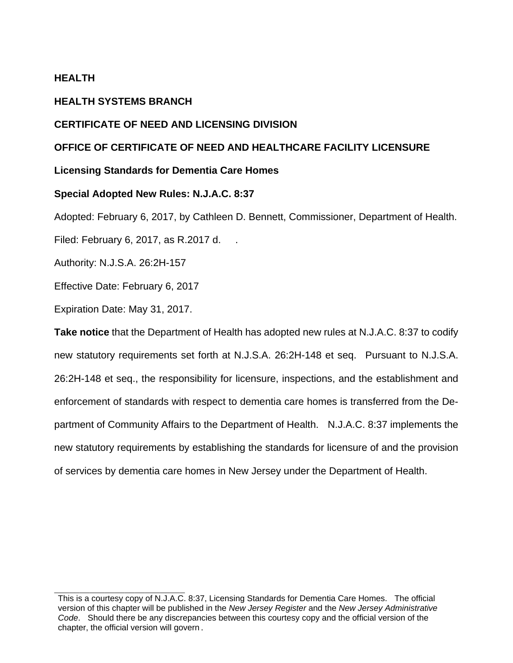# **HEALTH**

# **HEALTH SYSTEMS BRANCH**

# **CERTIFICATE OF NEED AND LICENSING DIVISION**

# **OFFICE OF CERTIFICATE OF NEED AND HEALTHCARE FACILITY LICENSURE**

# **Licensing Standards for Dementia Care Homes**

# **Special Adopted New Rules: N.J.A.C. 8:37**

Adopted: February 6, 2017, by Cathleen D. Bennett, Commissioner, Department of Health.

Filed: February 6, 2017, as R.2017 d. .

Authority: N.J.S.A. 26:2H-157

Effective Date: February 6, 2017

Expiration Date: May 31, 2017.

**Take notice** that the Department of Health has adopted new rules at N.J.A.C. 8:37 to codify new statutory requirements set forth at N.J.S.A. 26:2H-148 et seq. Pursuant to N.J.S.A. 26:2H-148 et seq., the responsibility for licensure, inspections, and the establishment and enforcement of standards with respect to dementia care homes is transferred from the Department of Community Affairs to the Department of Health. N.J.A.C. 8:37 implements the new statutory requirements by establishing the standards for licensure of and the provision of services by dementia care homes in New Jersey under the Department of Health.

This is a courtesy copy of N.J.A.C. 8:37, Licensing Standards for Dementia Care Homes. The official version of this chapter will be published in the *New Jersey Register* and the *New Jersey Administrative Code*. Should there be any discrepancies between this courtesy copy and the official version of the chapter, the official version will govern.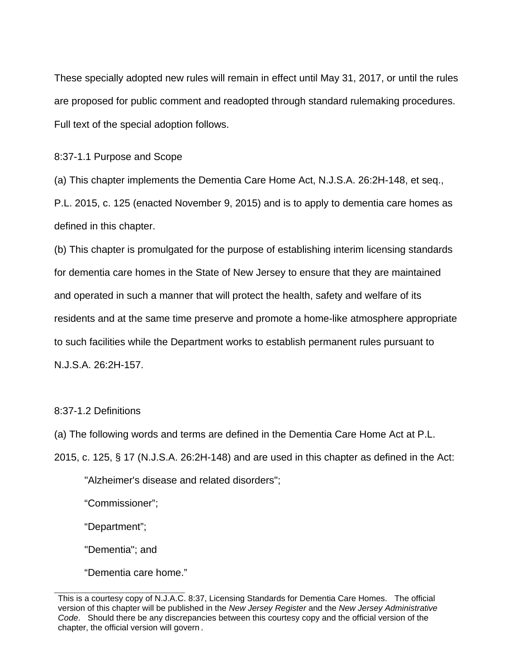These specially adopted new rules will remain in effect until May 31, 2017, or until the rules are proposed for public comment and readopted through standard rulemaking procedures. Full text of the special adoption follows.

8:37-1.1 Purpose and Scope

(a) This chapter implements the Dementia Care Home Act, N.J.S.A. 26:2H-148, et seq.,

P.L. 2015, c. 125 (enacted November 9, 2015) and is to apply to dementia care homes as defined in this chapter.

(b) This chapter is promulgated for the purpose of establishing interim licensing standards for dementia care homes in the State of New Jersey to ensure that they are maintained and operated in such a manner that will protect the health, safety and welfare of its residents and at the same time preserve and promote a home-like atmosphere appropriate to such facilities while the Department works to establish permanent rules pursuant to N.J.S.A. 26:2H-157.

8:37-1.2 Definitions

(a) The following words and terms are defined in the Dementia Care Home Act at P.L.

2015, c. 125, § 17 (N.J.S.A. 26:2H-148) and are used in this chapter as defined in the Act:

"Alzheimer's disease and related disorders";

"Commissioner";

"Department";

"Dementia"; and

"Dementia care home."

This is a courtesy copy of N.J.A.C. 8:37, Licensing Standards for Dementia Care Homes. The official version of this chapter will be published in the *New Jersey Register* and the *New Jersey Administrative Code*. Should there be any discrepancies between this courtesy copy and the official version of the chapter, the official version will govern.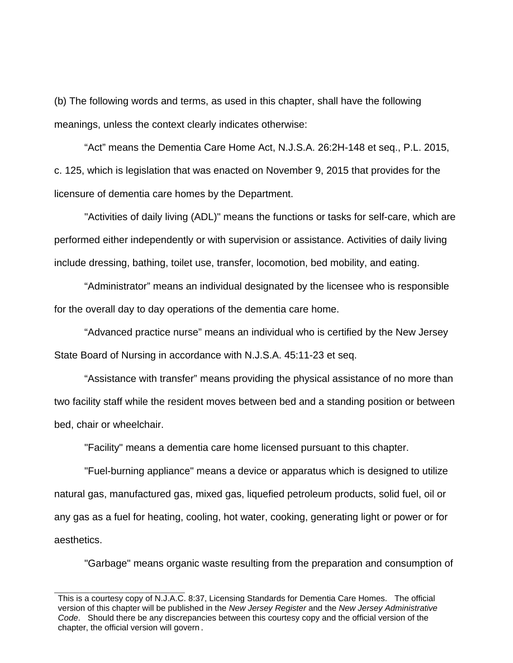(b) The following words and terms, as used in this chapter, shall have the following meanings, unless the context clearly indicates otherwise:

 "Act" means the Dementia Care Home Act, N.J.S.A. 26:2H-148 et seq., P.L. 2015, c. 125, which is legislation that was enacted on November 9, 2015 that provides for the licensure of dementia care homes by the Department.

"Activities of daily living (ADL)" means the functions or tasks for self-care, which are performed either independently or with supervision or assistance. Activities of daily living include dressing, bathing, toilet use, transfer, locomotion, bed mobility, and eating.

"Administrator" means an individual designated by the licensee who is responsible for the overall day to day operations of the dementia care home.

"Advanced practice nurse" means an individual who is certified by the New Jersey State Board of Nursing in accordance with N.J.S.A. 45:11-23 et seq.

"Assistance with transfer" means providing the physical assistance of no more than two facility staff while the resident moves between bed and a standing position or between bed, chair or wheelchair.

"Facility" means a dementia care home licensed pursuant to this chapter.

"Fuel-burning appliance" means a device or apparatus which is designed to utilize natural gas, manufactured gas, mixed gas, liquefied petroleum products, solid fuel, oil or any gas as a fuel for heating, cooling, hot water, cooking, generating light or power or for aesthetics.

"Garbage" means organic waste resulting from the preparation and consumption of

This is a courtesy copy of N.J.A.C. 8:37, Licensing Standards for Dementia Care Homes. The official version of this chapter will be published in the *New Jersey Register* and the *New Jersey Administrative Code*. Should there be any discrepancies between this courtesy copy and the official version of the chapter, the official version will govern.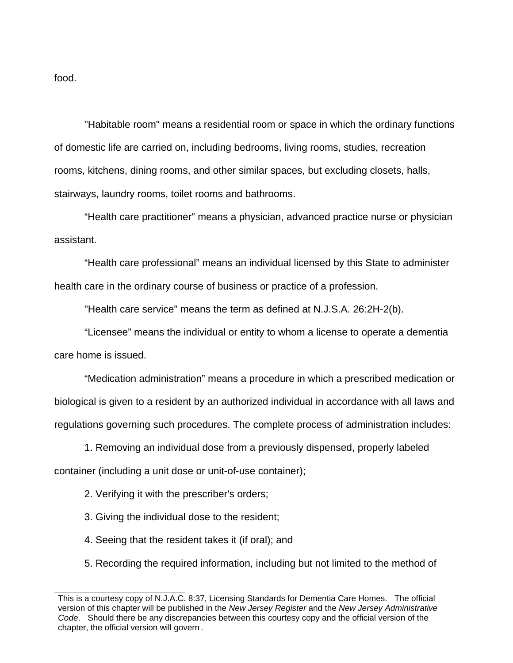food.

"Habitable room" means a residential room or space in which the ordinary functions of domestic life are carried on, including bedrooms, living rooms, studies, recreation rooms, kitchens, dining rooms, and other similar spaces, but excluding closets, halls, stairways, laundry rooms, toilet rooms and bathrooms.

"Health care practitioner" means a physician, advanced practice nurse or physician assistant.

"Health care professional" means an individual licensed by this State to administer health care in the ordinary course of business or practice of a profession.

"Health care service" means the term as defined at N.J.S.A. 26:2H-2(b).

 "Licensee" means the individual or entity to whom a license to operate a dementia care home is issued.

"Medication administration" means a procedure in which a prescribed medication or biological is given to a resident by an authorized individual in accordance with all laws and regulations governing such procedures. The complete process of administration includes:

1. Removing an individual dose from a previously dispensed, properly labeled container (including a unit dose or unit-of-use container);

2. Verifying it with the prescriber's orders;

3. Giving the individual dose to the resident;

4. Seeing that the resident takes it (if oral); and

5. Recording the required information, including but not limited to the method of

This is a courtesy copy of N.J.A.C. 8:37, Licensing Standards for Dementia Care Homes. The official version of this chapter will be published in the *New Jersey Register* and the *New Jersey Administrative Code*. Should there be any discrepancies between this courtesy copy and the official version of the chapter, the official version will govern.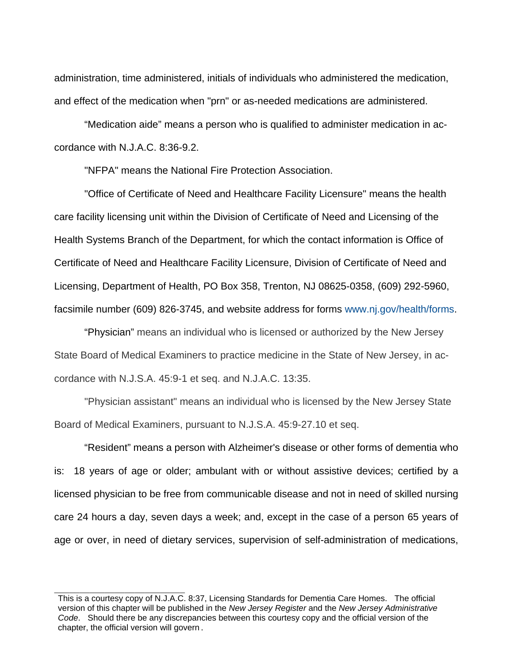administration, time administered, initials of individuals who administered the medication, and effect of the medication when "prn" or as-needed medications are administered.

 "Medication aide" means a person who is qualified to administer medication in accordance with N.J.A.C. 8:36-9.2.

"NFPA" means the National Fire Protection Association.

 "Office of Certificate of Need and Healthcare Facility Licensure" means the health care facility licensing unit within the Division of Certificate of Need and Licensing of the Health Systems Branch of the Department, for which the contact information is Office of Certificate of Need and Healthcare Facility Licensure, Division of Certificate of Need and Licensing, Department of Health, PO Box 358, Trenton, NJ 08625-0358, (609) 292-5960, facsimile number (609) 826-3745, and website address for forms www.nj.gov/health/forms.

"Physician" means an individual who is licensed or authorized by the New Jersey State Board of Medical Examiners to practice medicine in the State of New Jersey, in accordance with N.J.S.A. 45:9-1 et seq. and N.J.A.C. 13:35.

"Physician assistant" means an individual who is licensed by the New Jersey State Board of Medical Examiners, pursuant to N.J.S.A. 45:9-27.10 et seq.

"Resident" means a person with Alzheimer's disease or other forms of dementia who is: 18 years of age or older; ambulant with or without assistive devices; certified by a licensed physician to be free from communicable disease and not in need of skilled nursing care 24 hours a day, seven days a week; and, except in the case of a person 65 years of age or over, in need of dietary services, supervision of self-administration of medications,

This is a courtesy copy of N.J.A.C. 8:37, Licensing Standards for Dementia Care Homes. The official version of this chapter will be published in the *New Jersey Register* and the *New Jersey Administrative Code*. Should there be any discrepancies between this courtesy copy and the official version of the chapter, the official version will govern.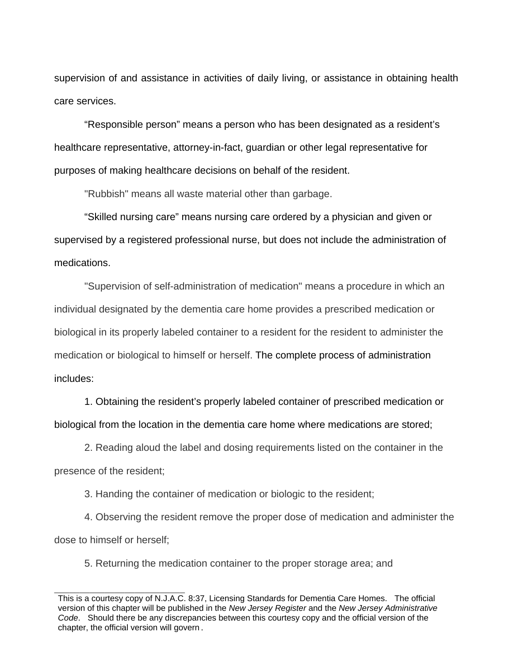supervision of and assistance in activities of daily living, or assistance in obtaining health care services.

"Responsible person" means a person who has been designated as a resident's healthcare representative, attorney-in-fact, guardian or other legal representative for purposes of making healthcare decisions on behalf of the resident.

"Rubbish" means all waste material other than garbage.

"Skilled nursing care" means nursing care ordered by a physician and given or supervised by a registered professional nurse, but does not include the administration of medications.

"Supervision of self-administration of medication" means a procedure in which an individual designated by the dementia care home provides a prescribed medication or biological in its properly labeled container to a resident for the resident to administer the medication or biological to himself or herself. The complete process of administration includes:

1. Obtaining the resident's properly labeled container of prescribed medication or biological from the location in the dementia care home where medications are stored;

2. Reading aloud the label and dosing requirements listed on the container in the presence of the resident;

3. Handing the container of medication or biologic to the resident;

4. Observing the resident remove the proper dose of medication and administer the dose to himself or herself;

5. Returning the medication container to the proper storage area; and

This is a courtesy copy of N.J.A.C. 8:37, Licensing Standards for Dementia Care Homes. The official version of this chapter will be published in the *New Jersey Register* and the *New Jersey Administrative Code*. Should there be any discrepancies between this courtesy copy and the official version of the chapter, the official version will govern.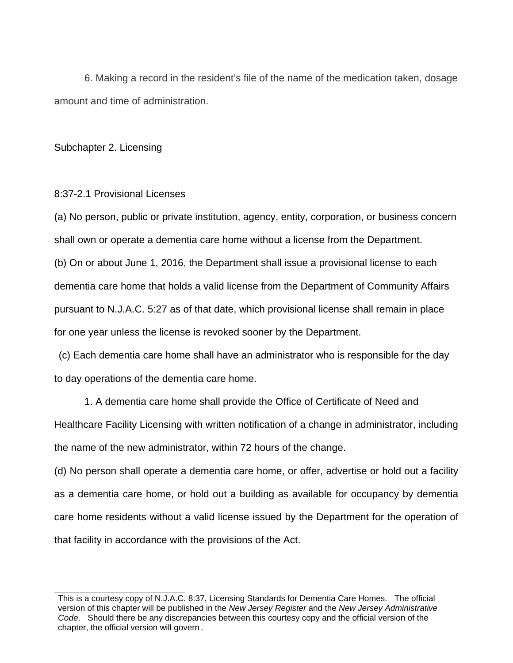6. Making a record in the resident's file of the name of the medication taken, dosage amount and time of administration.

Subchapter 2. Licensing

8:37-2.1 Provisional Licenses

(a) No person, public or private institution, agency, entity, corporation, or business concern shall own or operate a dementia care home without a license from the Department. (b) On or about June 1, 2016, the Department shall issue a provisional license to each dementia care home that holds a valid license from the Department of Community Affairs pursuant to N.J.A.C. 5:27 as of that date, which provisional license shall remain in place for one year unless the license is revoked sooner by the Department.

 (c) Each dementia care home shall have an administrator who is responsible for the day to day operations of the dementia care home.

1. A dementia care home shall provide the Office of Certificate of Need and Healthcare Facility Licensing with written notification of a change in administrator, including the name of the new administrator, within 72 hours of the change.

(d) No person shall operate a dementia care home, or offer, advertise or hold out a facility as a dementia care home, or hold out a building as available for occupancy by dementia care home residents without a valid license issued by the Department for the operation of that facility in accordance with the provisions of the Act.

This is a courtesy copy of N.J.A.C. 8:37, Licensing Standards for Dementia Care Homes. The official version of this chapter will be published in the *New Jersey Register* and the *New Jersey Administrative Code*. Should there be any discrepancies between this courtesy copy and the official version of the chapter, the official version will govern.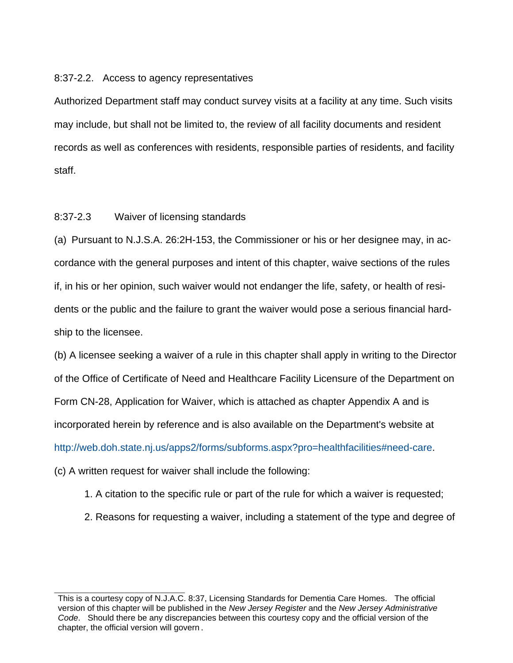### 8:37-2.2. Access to agency representatives

Authorized Department staff may conduct survey visits at a facility at any time. Such visits may include, but shall not be limited to, the review of all facility documents and resident records as well as conferences with residents, responsible parties of residents, and facility staff.

## 8:37-2.3 Waiver of licensing standards

(a) Pursuant to N.J.S.A. 26:2H-153, the Commissioner or his or her designee may, in accordance with the general purposes and intent of this chapter, waive sections of the rules if, in his or her opinion, such waiver would not endanger the life, safety, or health of residents or the public and the failure to grant the waiver would pose a serious financial hardship to the licensee.

(b) A licensee seeking a waiver of a rule in this chapter shall apply in writing to the Director of the Office of Certificate of Need and Healthcare Facility Licensure of the Department on Form CN-28, Application for Waiver, which is attached as chapter Appendix A and is incorporated herein by reference and is also available on the Department's website at http://web.doh.state.nj.us/apps2/forms/subforms.aspx?pro=healthfacilities#need-care.

(c) A written request for waiver shall include the following:

- 1. A citation to the specific rule or part of the rule for which a waiver is requested;
- 2. Reasons for requesting a waiver, including a statement of the type and degree of

This is a courtesy copy of N.J.A.C. 8:37, Licensing Standards for Dementia Care Homes. The official version of this chapter will be published in the *New Jersey Register* and the *New Jersey Administrative Code*. Should there be any discrepancies between this courtesy copy and the official version of the chapter, the official version will govern.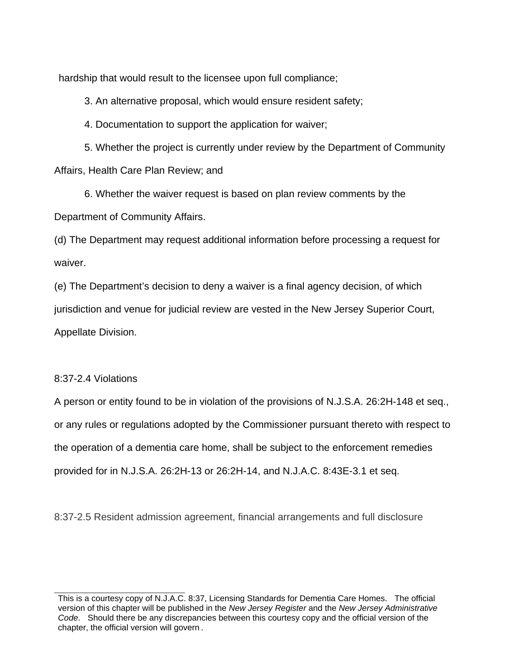hardship that would result to the licensee upon full compliance;

3. An alternative proposal, which would ensure resident safety;

4. Documentation to support the application for waiver;

5. Whether the project is currently under review by the Department of Community Affairs, Health Care Plan Review; and

6. Whether the waiver request is based on plan review comments by the Department of Community Affairs.

(d) The Department may request additional information before processing a request for waiver.

(e) The Department's decision to deny a waiver is a final agency decision, of which jurisdiction and venue for judicial review are vested in the New Jersey Superior Court, Appellate Division.

## 8:37-2.4 Violations

A person or entity found to be in violation of the provisions of N.J.S.A. 26:2H-148 et seq., or any rules or regulations adopted by the Commissioner pursuant thereto with respect to the operation of a dementia care home, shall be subject to the enforcement remedies provided for in N.J.S.A. 26:2H-13 or 26:2H-14, and N.J.A.C. 8:43E-3.1 et seq.

8:37-2.5 Resident admission agreement, financial arrangements and full disclosure

This is a courtesy copy of N.J.A.C. 8:37, Licensing Standards for Dementia Care Homes. The official version of this chapter will be published in the *New Jersey Register* and the *New Jersey Administrative Code*. Should there be any discrepancies between this courtesy copy and the official version of the chapter, the official version will govern.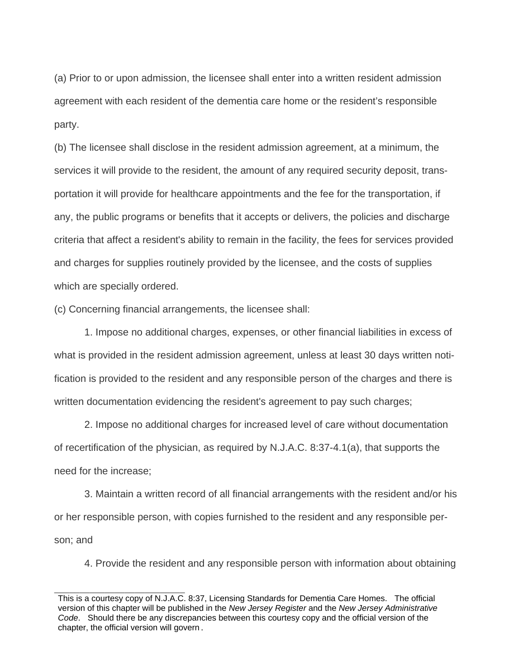(a) Prior to or upon admission, the licensee shall enter into a written resident admission agreement with each resident of the dementia care home or the resident's responsible party.

(b) The licensee shall disclose in the resident admission agreement, at a minimum, the services it will provide to the resident, the amount of any required security deposit, transportation it will provide for healthcare appointments and the fee for the transportation, if any, the public programs or benefits that it accepts or delivers, the policies and discharge criteria that affect a resident's ability to remain in the facility, the fees for services provided and charges for supplies routinely provided by the licensee, and the costs of supplies which are specially ordered.

(c) Concerning financial arrangements, the licensee shall:

 1. Impose no additional charges, expenses, or other financial liabilities in excess of what is provided in the resident admission agreement, unless at least 30 days written notification is provided to the resident and any responsible person of the charges and there is written documentation evidencing the resident's agreement to pay such charges;

 2. Impose no additional charges for increased level of care without documentation of recertification of the physician, as required by N.J.A.C. 8:37-4.1(a), that supports the need for the increase;

 3. Maintain a written record of all financial arrangements with the resident and/or his or her responsible person, with copies furnished to the resident and any responsible person; and

4. Provide the resident and any responsible person with information about obtaining

This is a courtesy copy of N.J.A.C. 8:37, Licensing Standards for Dementia Care Homes. The official version of this chapter will be published in the *New Jersey Register* and the *New Jersey Administrative Code*. Should there be any discrepancies between this courtesy copy and the official version of the chapter, the official version will govern.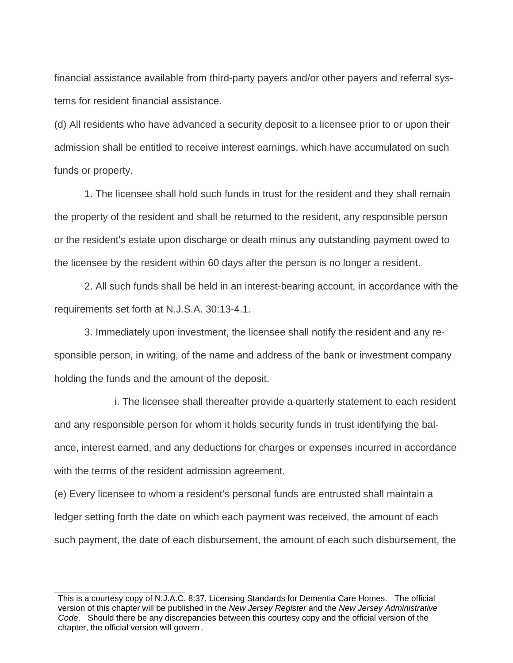financial assistance available from third-party payers and/or other payers and referral systems for resident financial assistance.

(d) All residents who have advanced a security deposit to a licensee prior to or upon their admission shall be entitled to receive interest earnings, which have accumulated on such funds or property.

 1. The licensee shall hold such funds in trust for the resident and they shall remain the property of the resident and shall be returned to the resident, any responsible person or the resident's estate upon discharge or death minus any outstanding payment owed to the licensee by the resident within 60 days after the person is no longer a resident.

 2. All such funds shall be held in an interest-bearing account, in accordance with the requirements set forth at N.J.S.A. 30:13-4.1.

 3. Immediately upon investment, the licensee shall notify the resident and any responsible person, in writing, of the name and address of the bank or investment company holding the funds and the amount of the deposit.

i. The licensee shall thereafter provide a quarterly statement to each resident and any responsible person for whom it holds security funds in trust identifying the balance, interest earned, and any deductions for charges or expenses incurred in accordance with the terms of the resident admission agreement.

(e) Every licensee to whom a resident's personal funds are entrusted shall maintain a ledger setting forth the date on which each payment was received, the amount of each such payment, the date of each disbursement, the amount of each such disbursement, the

This is a courtesy copy of N.J.A.C. 8:37, Licensing Standards for Dementia Care Homes. The official version of this chapter will be published in the *New Jersey Register* and the *New Jersey Administrative Code*. Should there be any discrepancies between this courtesy copy and the official version of the chapter, the official version will govern.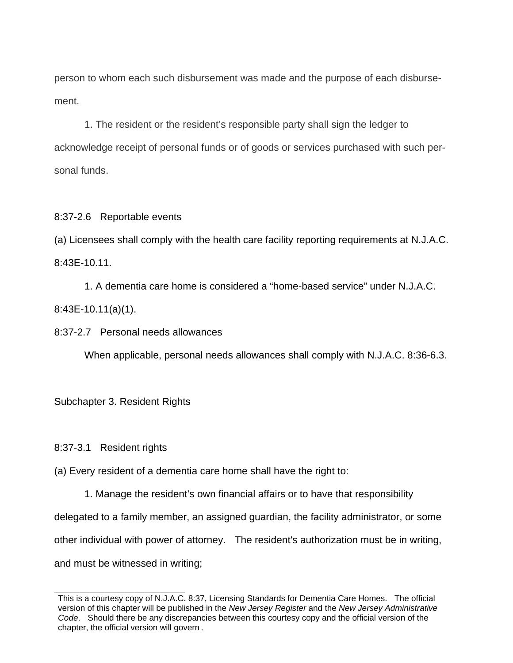person to whom each such disbursement was made and the purpose of each disbursement.

 1. The resident or the resident's responsible party shall sign the ledger to acknowledge receipt of personal funds or of goods or services purchased with such personal funds.

8:37-2.6 Reportable events

(a) Licensees shall comply with the health care facility reporting requirements at N.J.A.C. 8:43E-10.11.

 1. A dementia care home is considered a "home-based service" under N.J.A.C. 8:43E-10.11(a)(1).

8:37-2.7 Personal needs allowances

When applicable, personal needs allowances shall comply with N.J.A.C. 8:36-6.3.

Subchapter 3. Resident Rights

8:37-3.1 Resident rights

(a) Every resident of a dementia care home shall have the right to:

1. Manage the resident's own financial affairs or to have that responsibility delegated to a family member, an assigned guardian, the facility administrator, or some other individual with power of attorney. The resident's authorization must be in writing, and must be witnessed in writing;

This is a courtesy copy of N.J.A.C. 8:37, Licensing Standards for Dementia Care Homes. The official version of this chapter will be published in the *New Jersey Register* and the *New Jersey Administrative Code*. Should there be any discrepancies between this courtesy copy and the official version of the chapter, the official version will govern.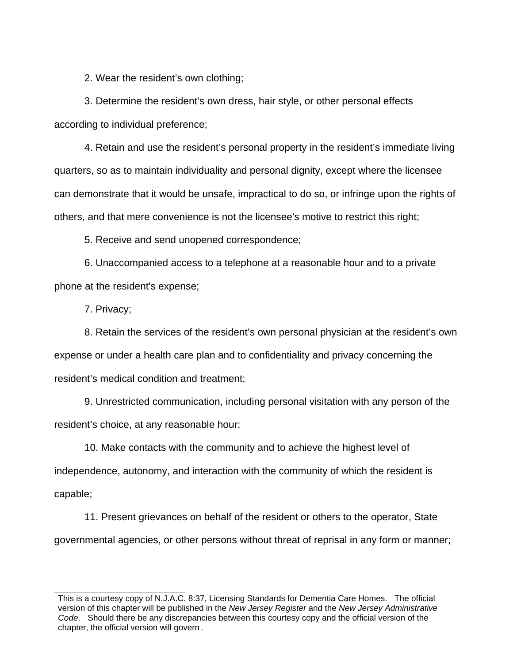2. Wear the resident's own clothing;

3. Determine the resident's own dress, hair style, or other personal effects according to individual preference;

4. Retain and use the resident's personal property in the resident's immediate living quarters, so as to maintain individuality and personal dignity, except where the licensee can demonstrate that it would be unsafe, impractical to do so, or infringe upon the rights of others, and that mere convenience is not the licensee's motive to restrict this right;

5. Receive and send unopened correspondence;

6. Unaccompanied access to a telephone at a reasonable hour and to a private phone at the resident's expense;

7. Privacy;

8. Retain the services of the resident's own personal physician at the resident's own expense or under a health care plan and to confidentiality and privacy concerning the resident's medical condition and treatment;

9. Unrestricted communication, including personal visitation with any person of the resident's choice, at any reasonable hour;

10. Make contacts with the community and to achieve the highest level of independence, autonomy, and interaction with the community of which the resident is capable;

11. Present grievances on behalf of the resident or others to the operator, State governmental agencies, or other persons without threat of reprisal in any form or manner;

This is a courtesy copy of N.J.A.C. 8:37, Licensing Standards for Dementia Care Homes. The official version of this chapter will be published in the *New Jersey Register* and the *New Jersey Administrative Code*. Should there be any discrepancies between this courtesy copy and the official version of the chapter, the official version will govern.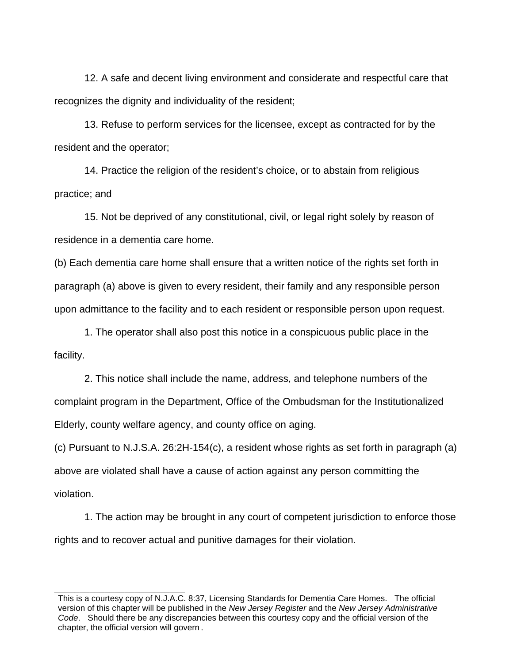12. A safe and decent living environment and considerate and respectful care that recognizes the dignity and individuality of the resident;

13. Refuse to perform services for the licensee, except as contracted for by the resident and the operator;

14. Practice the religion of the resident's choice, or to abstain from religious practice; and

15. Not be deprived of any constitutional, civil, or legal right solely by reason of residence in a dementia care home.

(b) Each dementia care home shall ensure that a written notice of the rights set forth in paragraph (a) above is given to every resident, their family and any responsible person upon admittance to the facility and to each resident or responsible person upon request.

1. The operator shall also post this notice in a conspicuous public place in the facility.

2. This notice shall include the name, address, and telephone numbers of the complaint program in the Department, Office of the Ombudsman for the Institutionalized Elderly, county welfare agency, and county office on aging.

(c) Pursuant to N.J.S.A. 26:2H-154(c), a resident whose rights as set forth in paragraph (a) above are violated shall have a cause of action against any person committing the violation.

1. The action may be brought in any court of competent jurisdiction to enforce those rights and to recover actual and punitive damages for their violation.

This is a courtesy copy of N.J.A.C. 8:37, Licensing Standards for Dementia Care Homes. The official version of this chapter will be published in the *New Jersey Register* and the *New Jersey Administrative Code*. Should there be any discrepancies between this courtesy copy and the official version of the chapter, the official version will govern.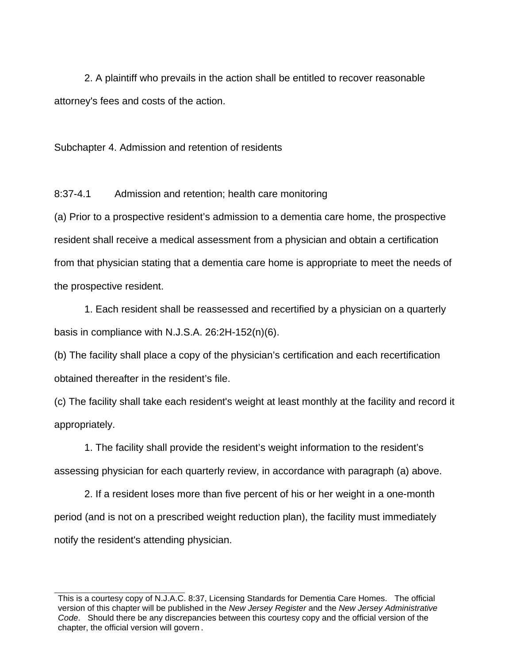2. A plaintiff who prevails in the action shall be entitled to recover reasonable attorney's fees and costs of the action.

Subchapter 4. Admission and retention of residents

8:37-4.1 Admission and retention; health care monitoring

(a) Prior to a prospective resident's admission to a dementia care home, the prospective resident shall receive a medical assessment from a physician and obtain a certification from that physician stating that a dementia care home is appropriate to meet the needs of the prospective resident.

1. Each resident shall be reassessed and recertified by a physician on a quarterly basis in compliance with N.J.S.A. 26:2H-152(n)(6).

(b) The facility shall place a copy of the physician's certification and each recertification obtained thereafter in the resident's file.

(c) The facility shall take each resident's weight at least monthly at the facility and record it appropriately.

1. The facility shall provide the resident's weight information to the resident's assessing physician for each quarterly review, in accordance with paragraph (a) above.

2. If a resident loses more than five percent of his or her weight in a one-month period (and is not on a prescribed weight reduction plan), the facility must immediately notify the resident's attending physician.

This is a courtesy copy of N.J.A.C. 8:37, Licensing Standards for Dementia Care Homes. The official version of this chapter will be published in the *New Jersey Register* and the *New Jersey Administrative Code*. Should there be any discrepancies between this courtesy copy and the official version of the chapter, the official version will govern.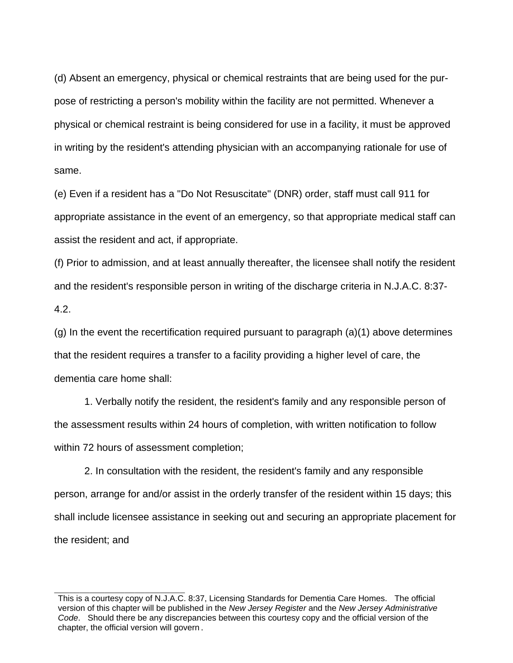(d) Absent an emergency, physical or chemical restraints that are being used for the purpose of restricting a person's mobility within the facility are not permitted. Whenever a physical or chemical restraint is being considered for use in a facility, it must be approved in writing by the resident's attending physician with an accompanying rationale for use of same.

(e) Even if a resident has a "Do Not Resuscitate" (DNR) order, staff must call 911 for appropriate assistance in the event of an emergency, so that appropriate medical staff can assist the resident and act, if appropriate.

(f) Prior to admission, and at least annually thereafter, the licensee shall notify the resident and the resident's responsible person in writing of the discharge criteria in N.J.A.C. 8:37- 4.2.

(g) In the event the recertification required pursuant to paragraph (a)(1) above determines that the resident requires a transfer to a facility providing a higher level of care, the dementia care home shall:

1. Verbally notify the resident, the resident's family and any responsible person of the assessment results within 24 hours of completion, with written notification to follow within 72 hours of assessment completion;

2. In consultation with the resident, the resident's family and any responsible person, arrange for and/or assist in the orderly transfer of the resident within 15 days; this shall include licensee assistance in seeking out and securing an appropriate placement for the resident; and

This is a courtesy copy of N.J.A.C. 8:37, Licensing Standards for Dementia Care Homes. The official version of this chapter will be published in the *New Jersey Register* and the *New Jersey Administrative Code*. Should there be any discrepancies between this courtesy copy and the official version of the chapter, the official version will govern.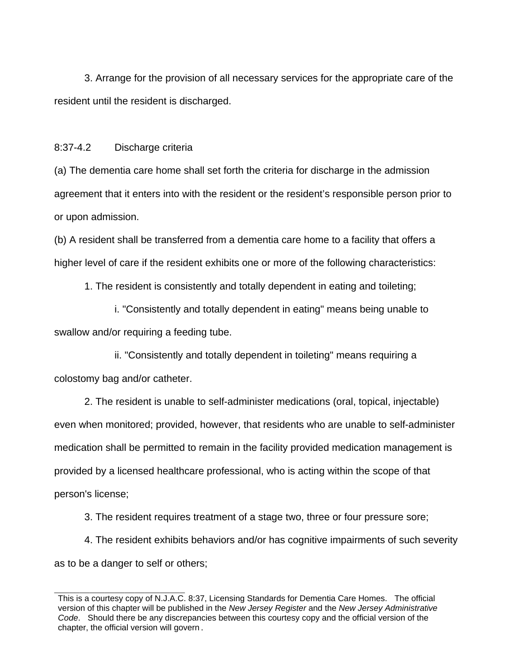3. Arrange for the provision of all necessary services for the appropriate care of the resident until the resident is discharged.

## 8:37-4.2 Discharge criteria

(a) The dementia care home shall set forth the criteria for discharge in the admission agreement that it enters into with the resident or the resident's responsible person prior to or upon admission.

(b) A resident shall be transferred from a dementia care home to a facility that offers a higher level of care if the resident exhibits one or more of the following characteristics:

1. The resident is consistently and totally dependent in eating and toileting;

i. "Consistently and totally dependent in eating" means being unable to swallow and/or requiring a feeding tube.

ii. "Consistently and totally dependent in toileting" means requiring a colostomy bag and/or catheter.

 2. The resident is unable to self-administer medications (oral, topical, injectable) even when monitored; provided, however, that residents who are unable to self-administer medication shall be permitted to remain in the facility provided medication management is provided by a licensed healthcare professional, who is acting within the scope of that person's license;

3. The resident requires treatment of a stage two, three or four pressure sore;

4. The resident exhibits behaviors and/or has cognitive impairments of such severity as to be a danger to self or others;

This is a courtesy copy of N.J.A.C. 8:37, Licensing Standards for Dementia Care Homes. The official version of this chapter will be published in the *New Jersey Register* and the *New Jersey Administrative Code*. Should there be any discrepancies between this courtesy copy and the official version of the chapter, the official version will govern.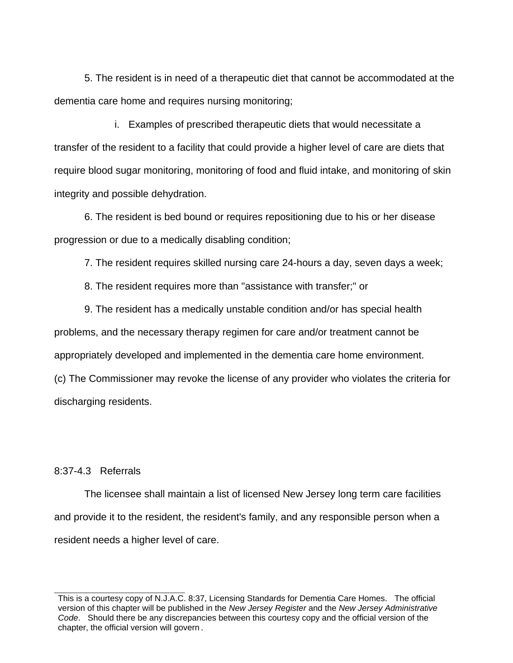5. The resident is in need of a therapeutic diet that cannot be accommodated at the dementia care home and requires nursing monitoring;

i. Examples of prescribed therapeutic diets that would necessitate a transfer of the resident to a facility that could provide a higher level of care are diets that require blood sugar monitoring, monitoring of food and fluid intake, and monitoring of skin integrity and possible dehydration.

6. The resident is bed bound or requires repositioning due to his or her disease progression or due to a medically disabling condition;

7. The resident requires skilled nursing care 24-hours a day, seven days a week;

8. The resident requires more than "assistance with transfer;" or

9. The resident has a medically unstable condition and/or has special health problems, and the necessary therapy regimen for care and/or treatment cannot be appropriately developed and implemented in the dementia care home environment. (c) The Commissioner may revoke the license of any provider who violates the criteria for discharging residents.

### 8:37-4.3 Referrals

 The licensee shall maintain a list of licensed New Jersey long term care facilities and provide it to the resident, the resident's family, and any responsible person when a resident needs a higher level of care.

This is a courtesy copy of N.J.A.C. 8:37, Licensing Standards for Dementia Care Homes. The official version of this chapter will be published in the *New Jersey Register* and the *New Jersey Administrative Code*. Should there be any discrepancies between this courtesy copy and the official version of the chapter, the official version will govern.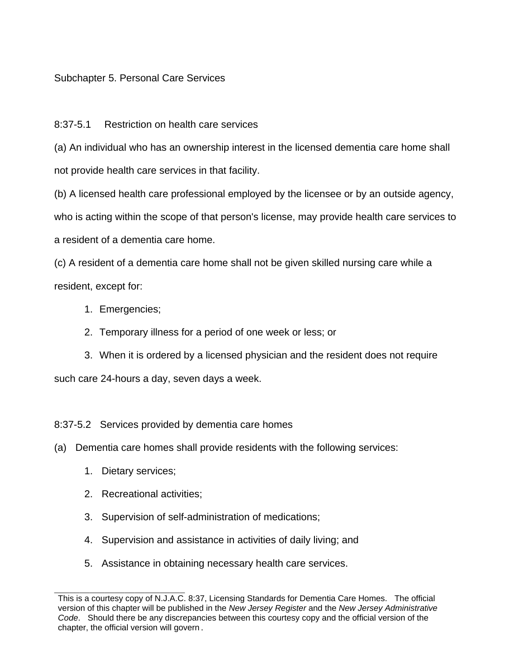# Subchapter 5. Personal Care Services

# 8:37-5.1 Restriction on health care services

(a) An individual who has an ownership interest in the licensed dementia care home shall not provide health care services in that facility.

(b) A licensed health care professional employed by the licensee or by an outside agency, who is acting within the scope of that person's license, may provide health care services to a resident of a dementia care home.

(c) A resident of a dementia care home shall not be given skilled nursing care while a resident, except for:

- 1. Emergencies;
- 2. Temporary illness for a period of one week or less; or

3. When it is ordered by a licensed physician and the resident does not require such care 24-hours a day, seven days a week.

8:37-5.2 Services provided by dementia care homes

(a) Dementia care homes shall provide residents with the following services:

- 1. Dietary services;
- 2. Recreational activities;
- 3. Supervision of self-administration of medications;
- 4. Supervision and assistance in activities of daily living; and
- 5. Assistance in obtaining necessary health care services.

This is a courtesy copy of N.J.A.C. 8:37, Licensing Standards for Dementia Care Homes. The official version of this chapter will be published in the *New Jersey Register* and the *New Jersey Administrative Code*. Should there be any discrepancies between this courtesy copy and the official version of the chapter, the official version will govern.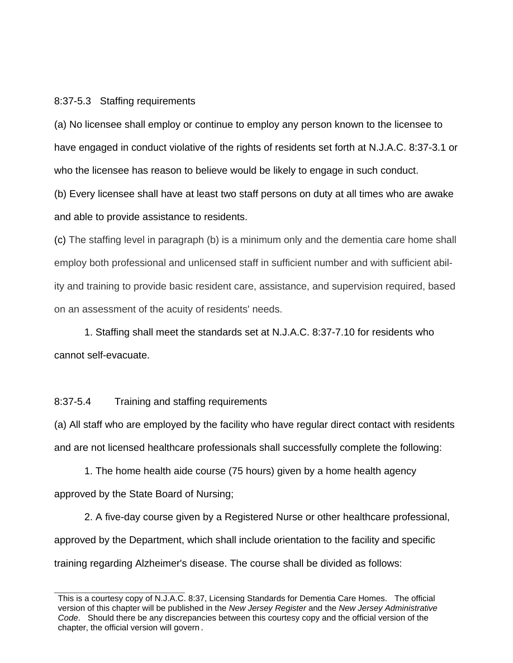#### 8:37-5.3 Staffing requirements

(a) No licensee shall employ or continue to employ any person known to the licensee to have engaged in conduct violative of the rights of residents set forth at N.J.A.C. 8:37-3.1 or who the licensee has reason to believe would be likely to engage in such conduct.

(b) Every licensee shall have at least two staff persons on duty at all times who are awake and able to provide assistance to residents.

(c) The staffing level in paragraph (b) is a minimum only and the dementia care home shall employ both professional and unlicensed staff in sufficient number and with sufficient ability and training to provide basic resident care, assistance, and supervision required, based on an assessment of the acuity of residents' needs.

1. Staffing shall meet the standards set at N.J.A.C. 8:37-7.10 for residents who cannot self-evacuate.

### 8:37-5.4 Training and staffing requirements

(a) All staff who are employed by the facility who have regular direct contact with residents and are not licensed healthcare professionals shall successfully complete the following:

 1. The home health aide course (75 hours) given by a home health agency approved by the State Board of Nursing;

 2. A five-day course given by a Registered Nurse or other healthcare professional, approved by the Department, which shall include orientation to the facility and specific training regarding Alzheimer's disease. The course shall be divided as follows:

This is a courtesy copy of N.J.A.C. 8:37, Licensing Standards for Dementia Care Homes. The official version of this chapter will be published in the *New Jersey Register* and the *New Jersey Administrative Code*. Should there be any discrepancies between this courtesy copy and the official version of the chapter, the official version will govern.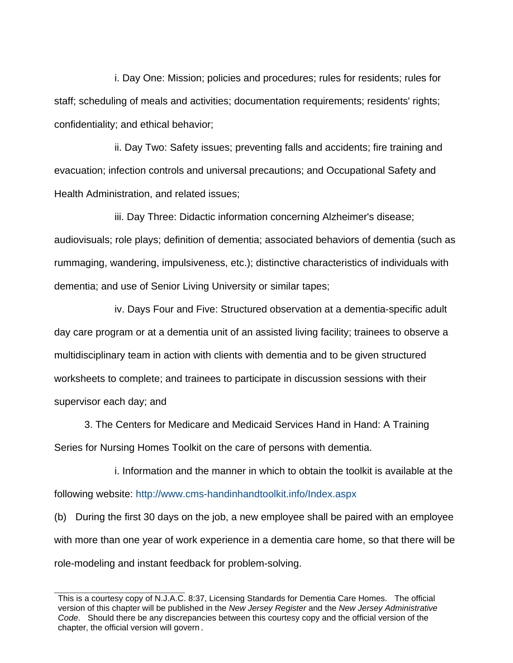i. Day One: Mission; policies and procedures; rules for residents; rules for staff; scheduling of meals and activities; documentation requirements; residents' rights; confidentiality; and ethical behavior;

 ii. Day Two: Safety issues; preventing falls and accidents; fire training and evacuation; infection controls and universal precautions; and Occupational Safety and Health Administration, and related issues;

 iii. Day Three: Didactic information concerning Alzheimer's disease; audiovisuals; role plays; definition of dementia; associated behaviors of dementia (such as rummaging, wandering, impulsiveness, etc.); distinctive characteristics of individuals with dementia; and use of Senior Living University or similar tapes;

 iv. Days Four and Five: Structured observation at a dementia-specific adult day care program or at a dementia unit of an assisted living facility; trainees to observe a multidisciplinary team in action with clients with dementia and to be given structured worksheets to complete; and trainees to participate in discussion sessions with their supervisor each day; and

 3. The Centers for Medicare and Medicaid Services Hand in Hand: A Training Series for Nursing Homes Toolkit on the care of persons with dementia.

i. Information and the manner in which to obtain the toolkit is available at the following website: http://www.cms-handinhandtoolkit.info/Index.aspx

(b) During the first 30 days on the job, a new employee shall be paired with an employee with more than one year of work experience in a dementia care home, so that there will be role-modeling and instant feedback for problem-solving.

This is a courtesy copy of N.J.A.C. 8:37, Licensing Standards for Dementia Care Homes. The official version of this chapter will be published in the *New Jersey Register* and the *New Jersey Administrative Code*. Should there be any discrepancies between this courtesy copy and the official version of the chapter, the official version will govern.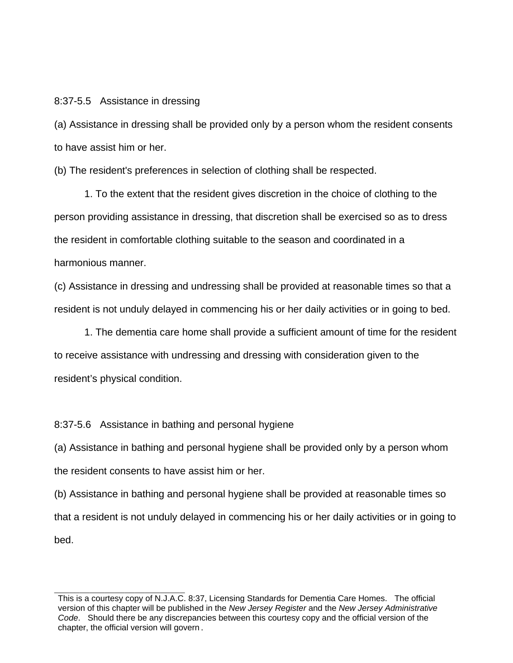#### 8:37-5.5 Assistance in dressing

(a) Assistance in dressing shall be provided only by a person whom the resident consents to have assist him or her.

(b) The resident's preferences in selection of clothing shall be respected.

 1. To the extent that the resident gives discretion in the choice of clothing to the person providing assistance in dressing, that discretion shall be exercised so as to dress the resident in comfortable clothing suitable to the season and coordinated in a harmonious manner.

(c) Assistance in dressing and undressing shall be provided at reasonable times so that a resident is not unduly delayed in commencing his or her daily activities or in going to bed.

1. The dementia care home shall provide a sufficient amount of time for the resident to receive assistance with undressing and dressing with consideration given to the resident's physical condition.

8:37-5.6 Assistance in bathing and personal hygiene

(a) Assistance in bathing and personal hygiene shall be provided only by a person whom the resident consents to have assist him or her.

(b) Assistance in bathing and personal hygiene shall be provided at reasonable times so that a resident is not unduly delayed in commencing his or her daily activities or in going to bed.

This is a courtesy copy of N.J.A.C. 8:37, Licensing Standards for Dementia Care Homes. The official version of this chapter will be published in the *New Jersey Register* and the *New Jersey Administrative Code*. Should there be any discrepancies between this courtesy copy and the official version of the chapter, the official version will govern.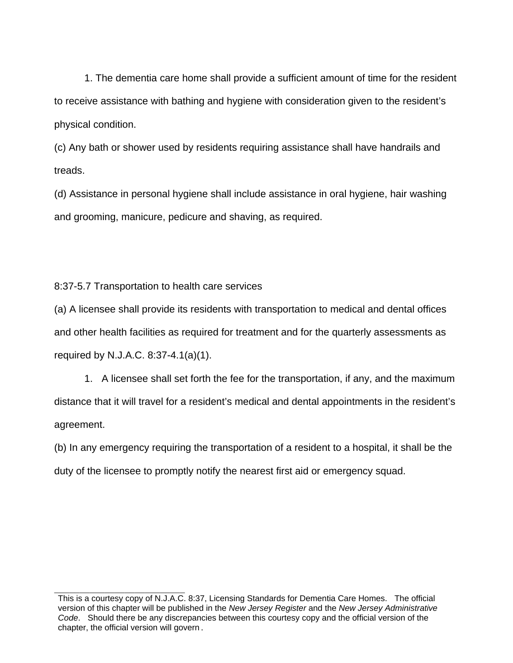1. The dementia care home shall provide a sufficient amount of time for the resident to receive assistance with bathing and hygiene with consideration given to the resident's physical condition.

(c) Any bath or shower used by residents requiring assistance shall have handrails and treads.

(d) Assistance in personal hygiene shall include assistance in oral hygiene, hair washing and grooming, manicure, pedicure and shaving, as required.

8:37-5.7 Transportation to health care services

(a) A licensee shall provide its residents with transportation to medical and dental offices and other health facilities as required for treatment and for the quarterly assessments as required by N.J.A.C. 8:37-4.1(a)(1).

1. A licensee shall set forth the fee for the transportation, if any, and the maximum distance that it will travel for a resident's medical and dental appointments in the resident's agreement.

(b) In any emergency requiring the transportation of a resident to a hospital, it shall be the duty of the licensee to promptly notify the nearest first aid or emergency squad.

This is a courtesy copy of N.J.A.C. 8:37, Licensing Standards for Dementia Care Homes. The official version of this chapter will be published in the *New Jersey Register* and the *New Jersey Administrative Code*. Should there be any discrepancies between this courtesy copy and the official version of the chapter, the official version will govern.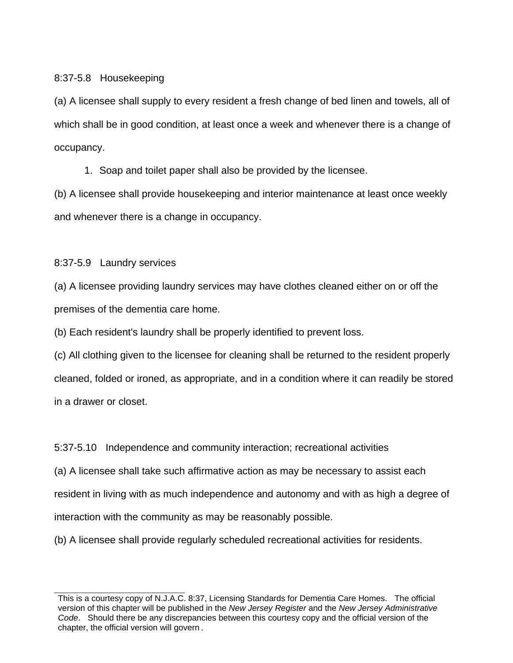8:37-5.8 Housekeeping

(a) A licensee shall supply to every resident a fresh change of bed linen and towels, all of which shall be in good condition, at least once a week and whenever there is a change of occupancy.

1. Soap and toilet paper shall also be provided by the licensee.

(b) A licensee shall provide housekeeping and interior maintenance at least once weekly and whenever there is a change in occupancy.

8:37-5.9 Laundry services

(a) A licensee providing laundry services may have clothes cleaned either on or off the premises of the dementia care home.

(b) Each resident's laundry shall be properly identified to prevent loss.

(c) All clothing given to the licensee for cleaning shall be returned to the resident properly cleaned, folded or ironed, as appropriate, and in a condition where it can readily be stored in a drawer or closet.

5:37-5.10 Independence and community interaction; recreational activities

(a) A licensee shall take such affirmative action as may be necessary to assist each

resident in living with as much independence and autonomy and with as high a degree of

interaction with the community as may be reasonably possible.

(b) A licensee shall provide regularly scheduled recreational activities for residents.

This is a courtesy copy of N.J.A.C. 8:37, Licensing Standards for Dementia Care Homes. The official version of this chapter will be published in the *New Jersey Register* and the *New Jersey Administrative Code*. Should there be any discrepancies between this courtesy copy and the official version of the chapter, the official version will govern.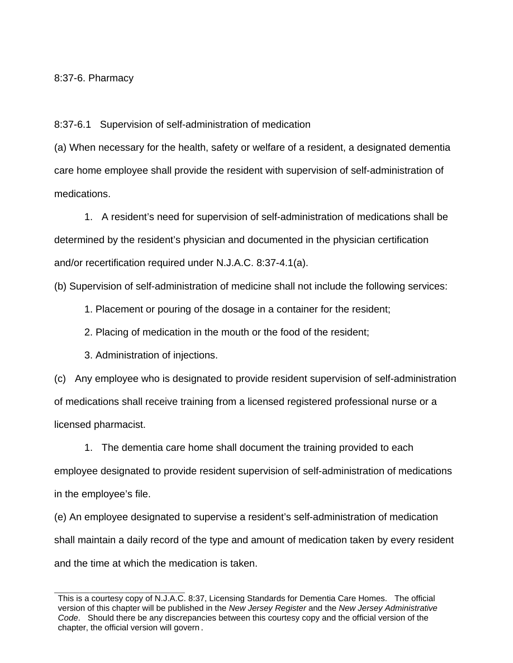## 8:37-6. Pharmacy

8:37-6.1 Supervision of self-administration of medication

(a) When necessary for the health, safety or welfare of a resident, a designated dementia care home employee shall provide the resident with supervision of self-administration of medications.

 1. A resident's need for supervision of self-administration of medications shall be determined by the resident's physician and documented in the physician certification and/or recertification required under N.J.A.C. 8:37-4.1(a).

(b) Supervision of self-administration of medicine shall not include the following services:

1. Placement or pouring of the dosage in a container for the resident;

2. Placing of medication in the mouth or the food of the resident;

3. Administration of injections.

(c) Any employee who is designated to provide resident supervision of self-administration of medications shall receive training from a licensed registered professional nurse or a licensed pharmacist.

1. The dementia care home shall document the training provided to each employee designated to provide resident supervision of self-administration of medications in the employee's file.

(e) An employee designated to supervise a resident's self-administration of medication shall maintain a daily record of the type and amount of medication taken by every resident and the time at which the medication is taken.

This is a courtesy copy of N.J.A.C. 8:37, Licensing Standards for Dementia Care Homes. The official version of this chapter will be published in the *New Jersey Register* and the *New Jersey Administrative Code*. Should there be any discrepancies between this courtesy copy and the official version of the chapter, the official version will govern.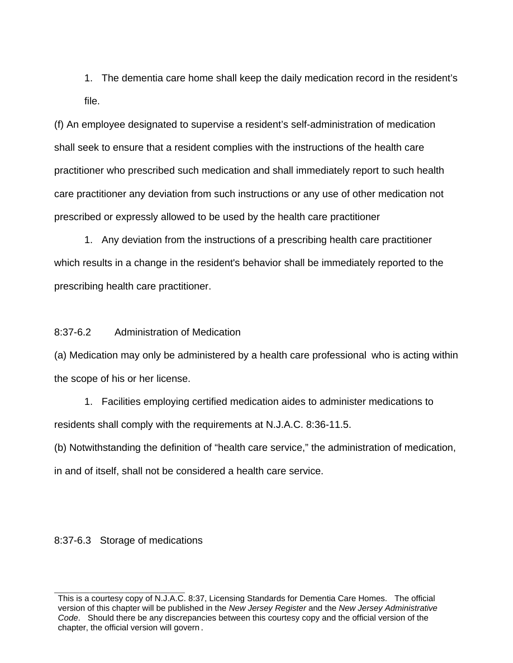1. The dementia care home shall keep the daily medication record in the resident's file.

(f) An employee designated to supervise a resident's self-administration of medication shall seek to ensure that a resident complies with the instructions of the health care practitioner who prescribed such medication and shall immediately report to such health care practitioner any deviation from such instructions or any use of other medication not prescribed or expressly allowed to be used by the health care practitioner

1. Any deviation from the instructions of a prescribing health care practitioner which results in a change in the resident's behavior shall be immediately reported to the prescribing health care practitioner.

8:37-6.2 Administration of Medication

(a) Medication may only be administered by a health care professional who is acting within the scope of his or her license.

1. Facilities employing certified medication aides to administer medications to residents shall comply with the requirements at N.J.A.C. 8:36-11.5.

(b) Notwithstanding the definition of "health care service," the administration of medication, in and of itself, shall not be considered a health care service.

8:37-6.3 Storage of medications

This is a courtesy copy of N.J.A.C. 8:37, Licensing Standards for Dementia Care Homes. The official version of this chapter will be published in the *New Jersey Register* and the *New Jersey Administrative Code*. Should there be any discrepancies between this courtesy copy and the official version of the chapter, the official version will govern.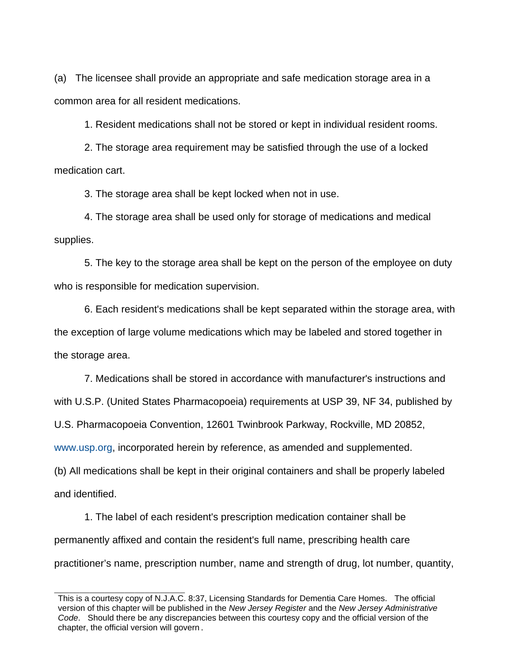(a) The licensee shall provide an appropriate and safe medication storage area in a common area for all resident medications.

1. Resident medications shall not be stored or kept in individual resident rooms.

2. The storage area requirement may be satisfied through the use of a locked medication cart.

3. The storage area shall be kept locked when not in use.

 4. The storage area shall be used only for storage of medications and medical supplies.

 5. The key to the storage area shall be kept on the person of the employee on duty who is responsible for medication supervision.

 6. Each resident's medications shall be kept separated within the storage area, with the exception of large volume medications which may be labeled and stored together in the storage area.

7. Medications shall be stored in accordance with manufacturer's instructions and

with U.S.P. (United States Pharmacopoeia) requirements at USP 39, NF 34, published by

U.S. Pharmacopoeia Convention, 12601 Twinbrook Parkway, Rockville, MD 20852,

www.usp.org, incorporated herein by reference, as amended and supplemented.

(b) All medications shall be kept in their original containers and shall be properly labeled and identified.

 1. The label of each resident's prescription medication container shall be permanently affixed and contain the resident's full name, prescribing health care practitioner's name, prescription number, name and strength of drug, lot number, quantity,

This is a courtesy copy of N.J.A.C. 8:37, Licensing Standards for Dementia Care Homes. The official version of this chapter will be published in the *New Jersey Register* and the *New Jersey Administrative Code*. Should there be any discrepancies between this courtesy copy and the official version of the chapter, the official version will govern.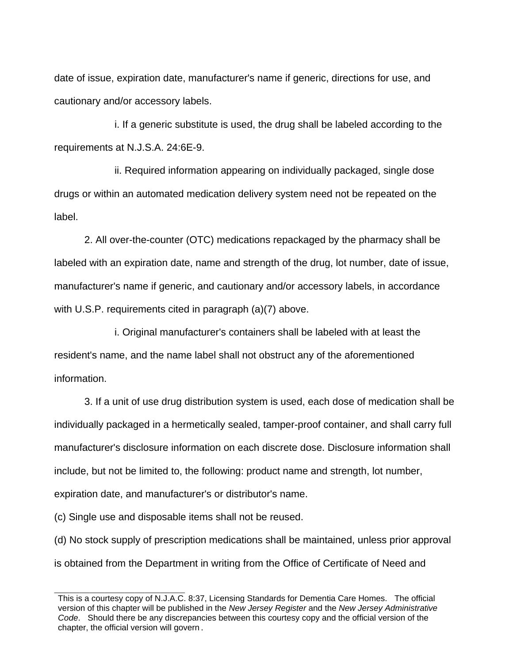date of issue, expiration date, manufacturer's name if generic, directions for use, and cautionary and/or accessory labels.

i. If a generic substitute is used, the drug shall be labeled according to the requirements at N.J.S.A. 24:6E-9.

ii. Required information appearing on individually packaged, single dose drugs or within an automated medication delivery system need not be repeated on the label.

 2. All over-the-counter (OTC) medications repackaged by the pharmacy shall be labeled with an expiration date, name and strength of the drug, lot number, date of issue, manufacturer's name if generic, and cautionary and/or accessory labels, in accordance with U.S.P. requirements cited in paragraph (a)(7) above.

i. Original manufacturer's containers shall be labeled with at least the resident's name, and the name label shall not obstruct any of the aforementioned information.

 3. If a unit of use drug distribution system is used, each dose of medication shall be individually packaged in a hermetically sealed, tamper-proof container, and shall carry full manufacturer's disclosure information on each discrete dose. Disclosure information shall include, but not be limited to, the following: product name and strength, lot number, expiration date, and manufacturer's or distributor's name.

(c) Single use and disposable items shall not be reused.

(d) No stock supply of prescription medications shall be maintained, unless prior approval is obtained from the Department in writing from the Office of Certificate of Need and

This is a courtesy copy of N.J.A.C. 8:37, Licensing Standards for Dementia Care Homes. The official version of this chapter will be published in the *New Jersey Register* and the *New Jersey Administrative Code*. Should there be any discrepancies between this courtesy copy and the official version of the chapter, the official version will govern.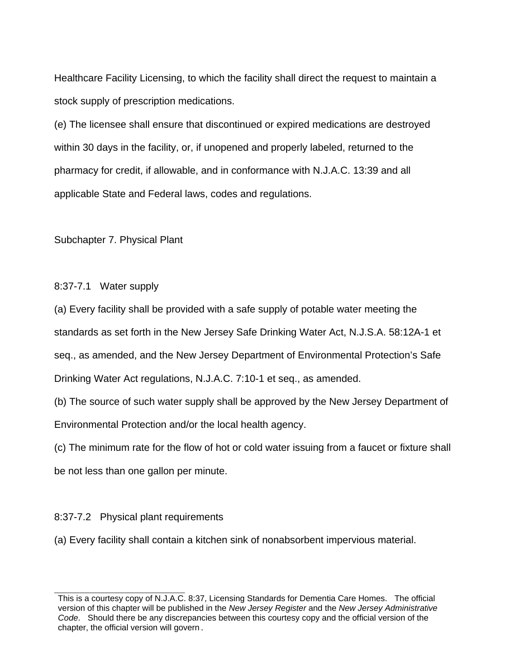Healthcare Facility Licensing, to which the facility shall direct the request to maintain a stock supply of prescription medications.

(e) The licensee shall ensure that discontinued or expired medications are destroyed within 30 days in the facility, or, if unopened and properly labeled, returned to the pharmacy for credit, if allowable, and in conformance with N.J.A.C. 13:39 and all applicable State and Federal laws, codes and regulations.

Subchapter 7. Physical Plant

8:37-7.1 Water supply

(a) Every facility shall be provided with a safe supply of potable water meeting the standards as set forth in the New Jersey Safe Drinking Water Act, N.J.S.A. 58:12A-1 et seq., as amended, and the New Jersey Department of Environmental Protection's Safe Drinking Water Act regulations, N.J.A.C. 7:10-1 et seq., as amended.

(b) The source of such water supply shall be approved by the New Jersey Department of Environmental Protection and/or the local health agency.

(c) The minimum rate for the flow of hot or cold water issuing from a faucet or fixture shall be not less than one gallon per minute.

8:37-7.2 Physical plant requirements

(a) Every facility shall contain a kitchen sink of nonabsorbent impervious material.

This is a courtesy copy of N.J.A.C. 8:37, Licensing Standards for Dementia Care Homes. The official version of this chapter will be published in the *New Jersey Register* and the *New Jersey Administrative Code*. Should there be any discrepancies between this courtesy copy and the official version of the chapter, the official version will govern.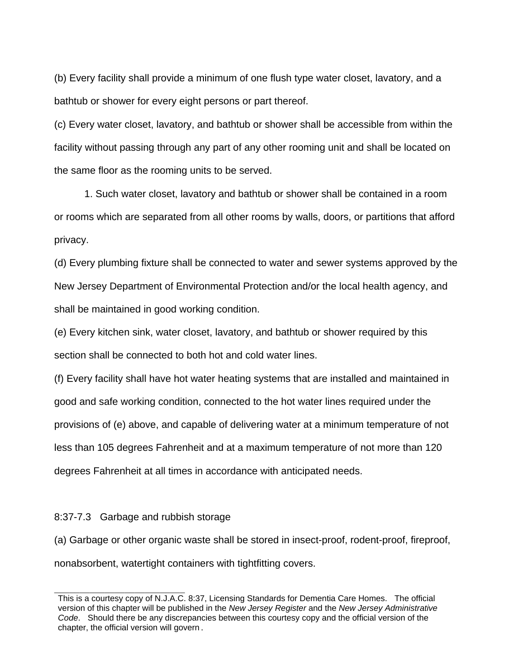(b) Every facility shall provide a minimum of one flush type water closet, lavatory, and a bathtub or shower for every eight persons or part thereof.

(c) Every water closet, lavatory, and bathtub or shower shall be accessible from within the facility without passing through any part of any other rooming unit and shall be located on the same floor as the rooming units to be served.

1. Such water closet, lavatory and bathtub or shower shall be contained in a room or rooms which are separated from all other rooms by walls, doors, or partitions that afford privacy.

(d) Every plumbing fixture shall be connected to water and sewer systems approved by the New Jersey Department of Environmental Protection and/or the local health agency, and shall be maintained in good working condition.

(e) Every kitchen sink, water closet, lavatory, and bathtub or shower required by this section shall be connected to both hot and cold water lines.

(f) Every facility shall have hot water heating systems that are installed and maintained in good and safe working condition, connected to the hot water lines required under the provisions of (e) above, and capable of delivering water at a minimum temperature of not less than 105 degrees Fahrenheit and at a maximum temperature of not more than 120 degrees Fahrenheit at all times in accordance with anticipated needs.

#### 8:37-7.3 Garbage and rubbish storage

(a) Garbage or other organic waste shall be stored in insect-proof, rodent-proof, fireproof, nonabsorbent, watertight containers with tightfitting covers.

This is a courtesy copy of N.J.A.C. 8:37, Licensing Standards for Dementia Care Homes. The official version of this chapter will be published in the *New Jersey Register* and the *New Jersey Administrative Code*. Should there be any discrepancies between this courtesy copy and the official version of the chapter, the official version will govern.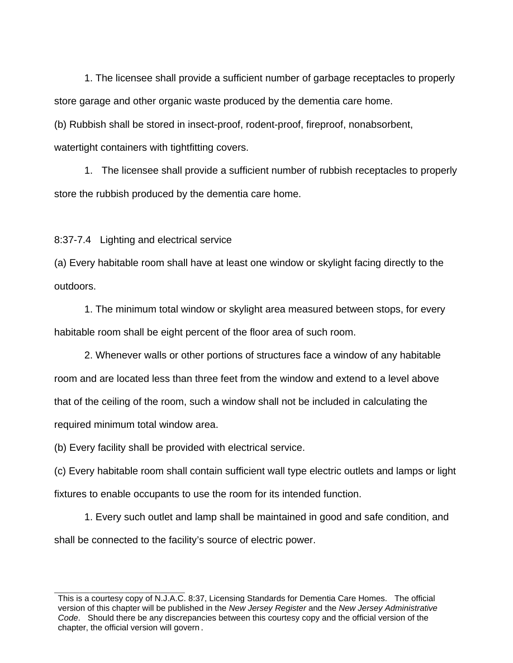1. The licensee shall provide a sufficient number of garbage receptacles to properly store garage and other organic waste produced by the dementia care home.

(b) Rubbish shall be stored in insect-proof, rodent-proof, fireproof, nonabsorbent, watertight containers with tightfitting covers.

1. The licensee shall provide a sufficient number of rubbish receptacles to properly store the rubbish produced by the dementia care home.

8:37-7.4 Lighting and electrical service

(a) Every habitable room shall have at least one window or skylight facing directly to the outdoors.

1. The minimum total window or skylight area measured between stops, for every habitable room shall be eight percent of the floor area of such room.

2. Whenever walls or other portions of structures face a window of any habitable room and are located less than three feet from the window and extend to a level above that of the ceiling of the room, such a window shall not be included in calculating the required minimum total window area.

(b) Every facility shall be provided with electrical service.

(c) Every habitable room shall contain sufficient wall type electric outlets and lamps or light fixtures to enable occupants to use the room for its intended function.

1. Every such outlet and lamp shall be maintained in good and safe condition, and shall be connected to the facility's source of electric power.

This is a courtesy copy of N.J.A.C. 8:37, Licensing Standards for Dementia Care Homes. The official version of this chapter will be published in the *New Jersey Register* and the *New Jersey Administrative Code*. Should there be any discrepancies between this courtesy copy and the official version of the chapter, the official version will govern.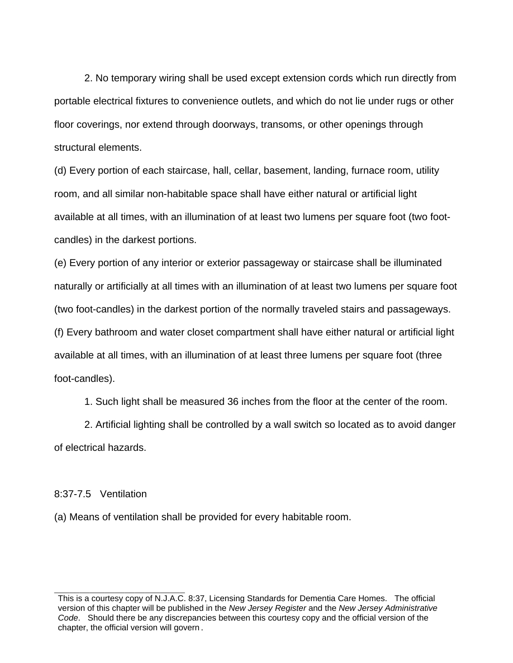2. No temporary wiring shall be used except extension cords which run directly from portable electrical fixtures to convenience outlets, and which do not lie under rugs or other floor coverings, nor extend through doorways, transoms, or other openings through structural elements.

(d) Every portion of each staircase, hall, cellar, basement, landing, furnace room, utility room, and all similar non-habitable space shall have either natural or artificial light available at all times, with an illumination of at least two lumens per square foot (two footcandles) in the darkest portions.

(e) Every portion of any interior or exterior passageway or staircase shall be illuminated naturally or artificially at all times with an illumination of at least two lumens per square foot (two foot-candles) in the darkest portion of the normally traveled stairs and passageways. (f) Every bathroom and water closet compartment shall have either natural or artificial light available at all times, with an illumination of at least three lumens per square foot (three

foot-candles).

1. Such light shall be measured 36 inches from the floor at the center of the room.

2. Artificial lighting shall be controlled by a wall switch so located as to avoid danger of electrical hazards.

#### 8:37-7.5 Ventilation

(a) Means of ventilation shall be provided for every habitable room.

This is a courtesy copy of N.J.A.C. 8:37, Licensing Standards for Dementia Care Homes. The official version of this chapter will be published in the *New Jersey Register* and the *New Jersey Administrative Code*. Should there be any discrepancies between this courtesy copy and the official version of the chapter, the official version will govern.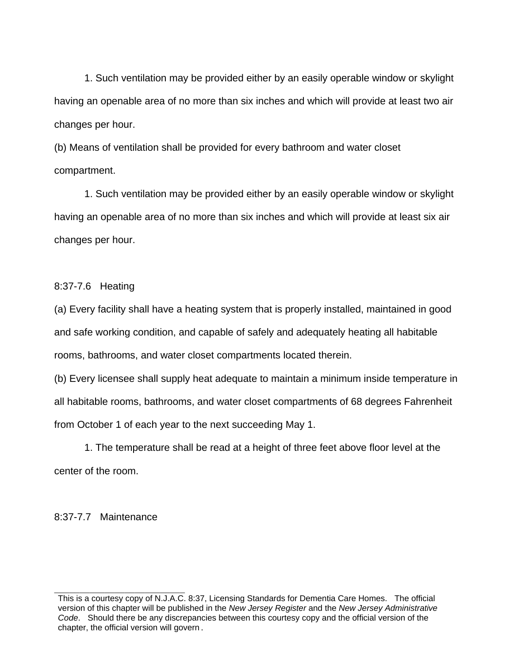1. Such ventilation may be provided either by an easily operable window or skylight having an openable area of no more than six inches and which will provide at least two air changes per hour.

(b) Means of ventilation shall be provided for every bathroom and water closet compartment.

1. Such ventilation may be provided either by an easily operable window or skylight having an openable area of no more than six inches and which will provide at least six air changes per hour.

8:37-7.6 Heating

(a) Every facility shall have a heating system that is properly installed, maintained in good and safe working condition, and capable of safely and adequately heating all habitable rooms, bathrooms, and water closet compartments located therein.

(b) Every licensee shall supply heat adequate to maintain a minimum inside temperature in all habitable rooms, bathrooms, and water closet compartments of 68 degrees Fahrenheit from October 1 of each year to the next succeeding May 1.

1. The temperature shall be read at a height of three feet above floor level at the center of the room.

8:37-7.7 Maintenance

This is a courtesy copy of N.J.A.C. 8:37, Licensing Standards for Dementia Care Homes. The official version of this chapter will be published in the *New Jersey Register* and the *New Jersey Administrative Code*. Should there be any discrepancies between this courtesy copy and the official version of the chapter, the official version will govern.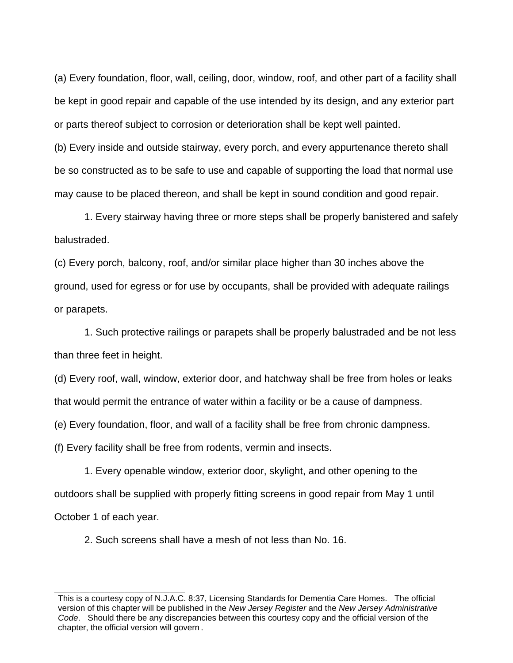(a) Every foundation, floor, wall, ceiling, door, window, roof, and other part of a facility shall be kept in good repair and capable of the use intended by its design, and any exterior part or parts thereof subject to corrosion or deterioration shall be kept well painted.

(b) Every inside and outside stairway, every porch, and every appurtenance thereto shall be so constructed as to be safe to use and capable of supporting the load that normal use may cause to be placed thereon, and shall be kept in sound condition and good repair.

1. Every stairway having three or more steps shall be properly banistered and safely balustraded.

(c) Every porch, balcony, roof, and/or similar place higher than 30 inches above the ground, used for egress or for use by occupants, shall be provided with adequate railings or parapets.

1. Such protective railings or parapets shall be properly balustraded and be not less than three feet in height.

(d) Every roof, wall, window, exterior door, and hatchway shall be free from holes or leaks that would permit the entrance of water within a facility or be a cause of dampness.

(e) Every foundation, floor, and wall of a facility shall be free from chronic dampness.

(f) Every facility shall be free from rodents, vermin and insects.

1. Every openable window, exterior door, skylight, and other opening to the outdoors shall be supplied with properly fitting screens in good repair from May 1 until October 1 of each year.

2. Such screens shall have a mesh of not less than No. 16.

This is a courtesy copy of N.J.A.C. 8:37, Licensing Standards for Dementia Care Homes. The official version of this chapter will be published in the *New Jersey Register* and the *New Jersey Administrative Code*. Should there be any discrepancies between this courtesy copy and the official version of the chapter, the official version will govern.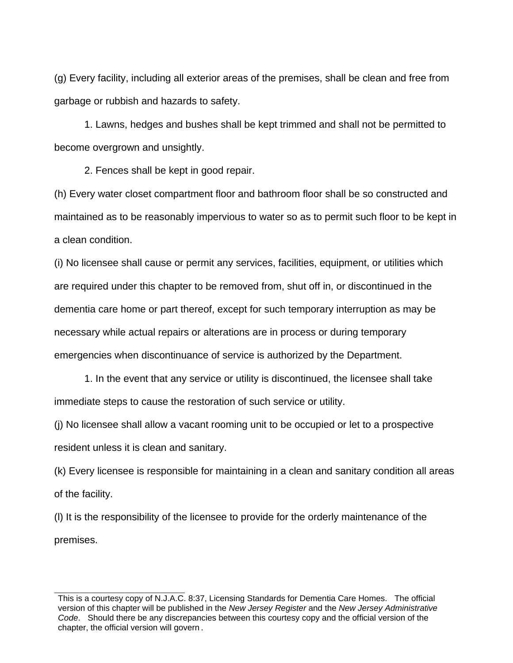(g) Every facility, including all exterior areas of the premises, shall be clean and free from garbage or rubbish and hazards to safety.

1. Lawns, hedges and bushes shall be kept trimmed and shall not be permitted to become overgrown and unsightly.

2. Fences shall be kept in good repair.

(h) Every water closet compartment floor and bathroom floor shall be so constructed and maintained as to be reasonably impervious to water so as to permit such floor to be kept in a clean condition.

(i) No licensee shall cause or permit any services, facilities, equipment, or utilities which are required under this chapter to be removed from, shut off in, or discontinued in the dementia care home or part thereof, except for such temporary interruption as may be necessary while actual repairs or alterations are in process or during temporary emergencies when discontinuance of service is authorized by the Department.

1. In the event that any service or utility is discontinued, the licensee shall take immediate steps to cause the restoration of such service or utility.

(j) No licensee shall allow a vacant rooming unit to be occupied or let to a prospective resident unless it is clean and sanitary.

(k) Every licensee is responsible for maintaining in a clean and sanitary condition all areas of the facility.

(l) It is the responsibility of the licensee to provide for the orderly maintenance of the premises.

This is a courtesy copy of N.J.A.C. 8:37, Licensing Standards for Dementia Care Homes. The official version of this chapter will be published in the *New Jersey Register* and the *New Jersey Administrative Code*. Should there be any discrepancies between this courtesy copy and the official version of the chapter, the official version will govern.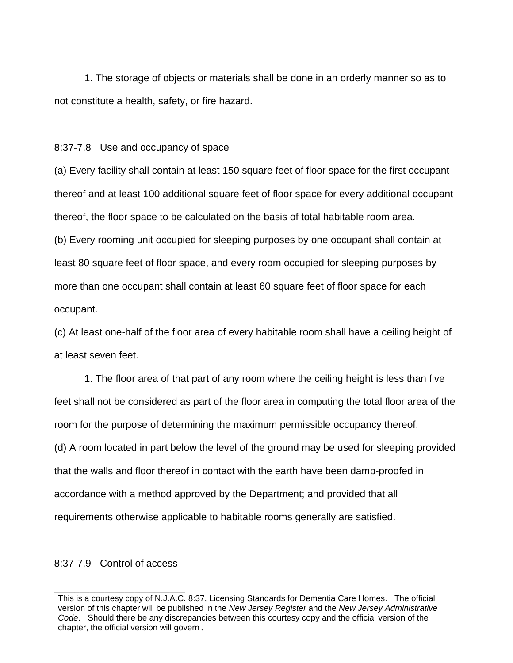1. The storage of objects or materials shall be done in an orderly manner so as to not constitute a health, safety, or fire hazard.

8:37-7.8 Use and occupancy of space

(a) Every facility shall contain at least 150 square feet of floor space for the first occupant thereof and at least 100 additional square feet of floor space for every additional occupant thereof, the floor space to be calculated on the basis of total habitable room area. (b) Every rooming unit occupied for sleeping purposes by one occupant shall contain at least 80 square feet of floor space, and every room occupied for sleeping purposes by more than one occupant shall contain at least 60 square feet of floor space for each occupant.

(c) At least one-half of the floor area of every habitable room shall have a ceiling height of at least seven feet.

1. The floor area of that part of any room where the ceiling height is less than five feet shall not be considered as part of the floor area in computing the total floor area of the room for the purpose of determining the maximum permissible occupancy thereof. (d) A room located in part below the level of the ground may be used for sleeping provided that the walls and floor thereof in contact with the earth have been damp-proofed in accordance with a method approved by the Department; and provided that all requirements otherwise applicable to habitable rooms generally are satisfied.

#### 8:37-7.9 Control of access

This is a courtesy copy of N.J.A.C. 8:37, Licensing Standards for Dementia Care Homes. The official version of this chapter will be published in the *New Jersey Register* and the *New Jersey Administrative Code*. Should there be any discrepancies between this courtesy copy and the official version of the chapter, the official version will govern.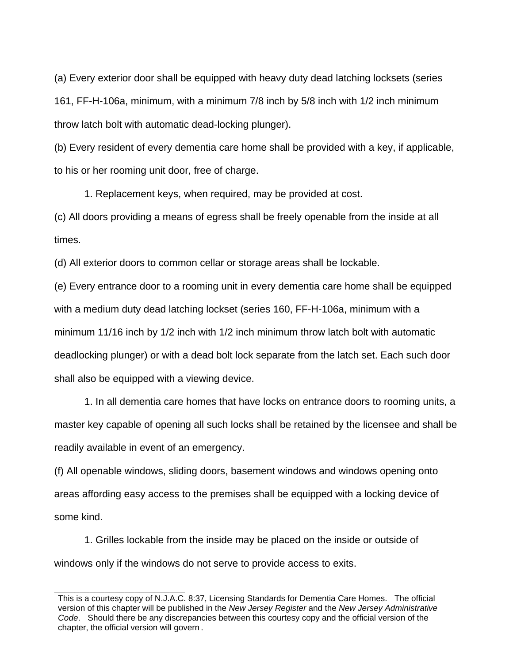(a) Every exterior door shall be equipped with heavy duty dead latching locksets (series 161, FF-H-106a, minimum, with a minimum 7/8 inch by 5/8 inch with 1/2 inch minimum throw latch bolt with automatic dead-locking plunger).

(b) Every resident of every dementia care home shall be provided with a key, if applicable, to his or her rooming unit door, free of charge.

1. Replacement keys, when required, may be provided at cost.

(c) All doors providing a means of egress shall be freely openable from the inside at all times.

(d) All exterior doors to common cellar or storage areas shall be lockable.

(e) Every entrance door to a rooming unit in every dementia care home shall be equipped with a medium duty dead latching lockset (series 160, FF-H-106a, minimum with a minimum 11/16 inch by 1/2 inch with 1/2 inch minimum throw latch bolt with automatic deadlocking plunger) or with a dead bolt lock separate from the latch set. Each such door shall also be equipped with a viewing device.

1. In all dementia care homes that have locks on entrance doors to rooming units, a master key capable of opening all such locks shall be retained by the licensee and shall be readily available in event of an emergency.

(f) All openable windows, sliding doors, basement windows and windows opening onto areas affording easy access to the premises shall be equipped with a locking device of some kind.

1. Grilles lockable from the inside may be placed on the inside or outside of windows only if the windows do not serve to provide access to exits.

This is a courtesy copy of N.J.A.C. 8:37, Licensing Standards for Dementia Care Homes. The official version of this chapter will be published in the *New Jersey Register* and the *New Jersey Administrative Code*. Should there be any discrepancies between this courtesy copy and the official version of the chapter, the official version will govern.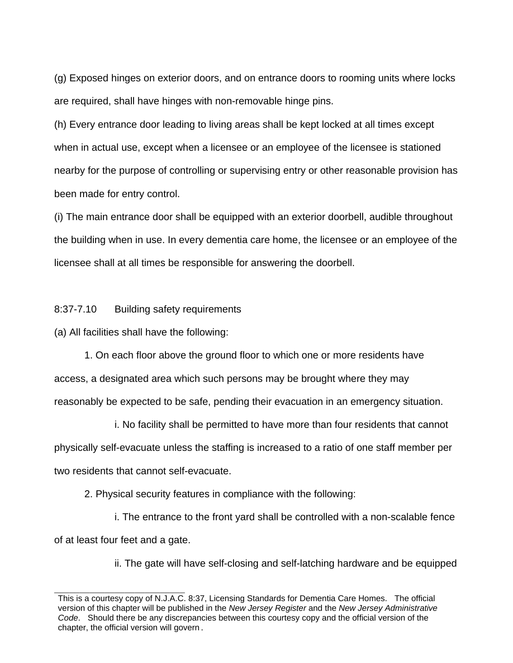(g) Exposed hinges on exterior doors, and on entrance doors to rooming units where locks are required, shall have hinges with non-removable hinge pins.

(h) Every entrance door leading to living areas shall be kept locked at all times except when in actual use, except when a licensee or an employee of the licensee is stationed nearby for the purpose of controlling or supervising entry or other reasonable provision has been made for entry control.

(i) The main entrance door shall be equipped with an exterior doorbell, audible throughout the building when in use. In every dementia care home, the licensee or an employee of the licensee shall at all times be responsible for answering the doorbell.

### 8:37-7.10 Building safety requirements

(a) All facilities shall have the following:

1. On each floor above the ground floor to which one or more residents have access, a designated area which such persons may be brought where they may reasonably be expected to be safe, pending their evacuation in an emergency situation.

i. No facility shall be permitted to have more than four residents that cannot physically self-evacuate unless the staffing is increased to a ratio of one staff member per two residents that cannot self-evacuate.

2. Physical security features in compliance with the following:

i. The entrance to the front yard shall be controlled with a non-scalable fence of at least four feet and a gate.

ii. The gate will have self-closing and self-latching hardware and be equipped

This is a courtesy copy of N.J.A.C. 8:37, Licensing Standards for Dementia Care Homes. The official version of this chapter will be published in the *New Jersey Register* and the *New Jersey Administrative Code*. Should there be any discrepancies between this courtesy copy and the official version of the chapter, the official version will govern.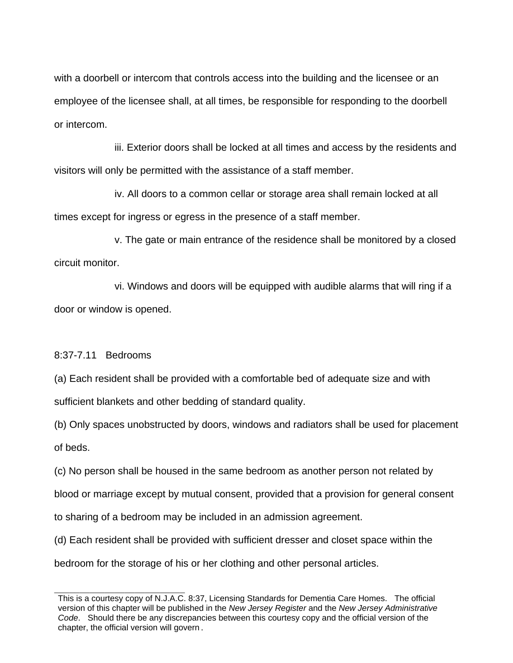with a doorbell or intercom that controls access into the building and the licensee or an employee of the licensee shall, at all times, be responsible for responding to the doorbell or intercom.

iii. Exterior doors shall be locked at all times and access by the residents and visitors will only be permitted with the assistance of a staff member.

iv. All doors to a common cellar or storage area shall remain locked at all times except for ingress or egress in the presence of a staff member.

v. The gate or main entrance of the residence shall be monitored by a closed circuit monitor.

vi. Windows and doors will be equipped with audible alarms that will ring if a door or window is opened.

8:37-7.11 Bedrooms

(a) Each resident shall be provided with a comfortable bed of adequate size and with

sufficient blankets and other bedding of standard quality.

(b) Only spaces unobstructed by doors, windows and radiators shall be used for placement of beds.

(c) No person shall be housed in the same bedroom as another person not related by

blood or marriage except by mutual consent, provided that a provision for general consent

to sharing of a bedroom may be included in an admission agreement.

(d) Each resident shall be provided with sufficient dresser and closet space within the

bedroom for the storage of his or her clothing and other personal articles.

This is a courtesy copy of N.J.A.C. 8:37, Licensing Standards for Dementia Care Homes. The official version of this chapter will be published in the *New Jersey Register* and the *New Jersey Administrative Code*. Should there be any discrepancies between this courtesy copy and the official version of the chapter, the official version will govern.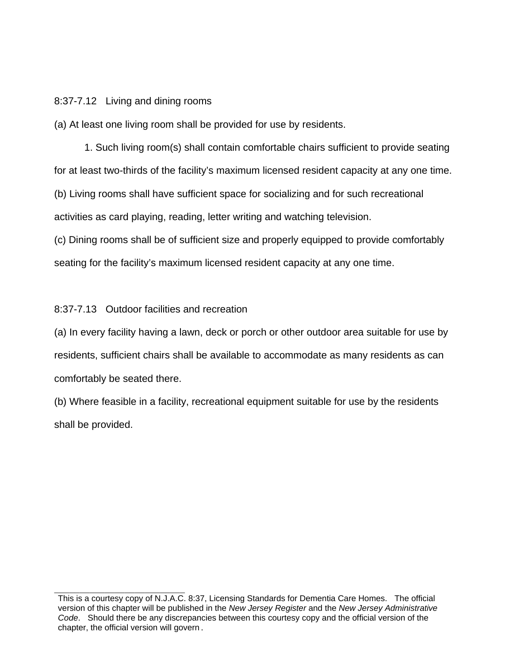## 8:37-7.12 Living and dining rooms

(a) At least one living room shall be provided for use by residents.

1. Such living room(s) shall contain comfortable chairs sufficient to provide seating for at least two-thirds of the facility's maximum licensed resident capacity at any one time. (b) Living rooms shall have sufficient space for socializing and for such recreational activities as card playing, reading, letter writing and watching television.

(c) Dining rooms shall be of sufficient size and properly equipped to provide comfortably seating for the facility's maximum licensed resident capacity at any one time.

## 8:37-7.13 Outdoor facilities and recreation

(a) In every facility having a lawn, deck or porch or other outdoor area suitable for use by residents, sufficient chairs shall be available to accommodate as many residents as can comfortably be seated there.

(b) Where feasible in a facility, recreational equipment suitable for use by the residents shall be provided.

This is a courtesy copy of N.J.A.C. 8:37, Licensing Standards for Dementia Care Homes. The official version of this chapter will be published in the *New Jersey Register* and the *New Jersey Administrative Code*. Should there be any discrepancies between this courtesy copy and the official version of the chapter, the official version will govern.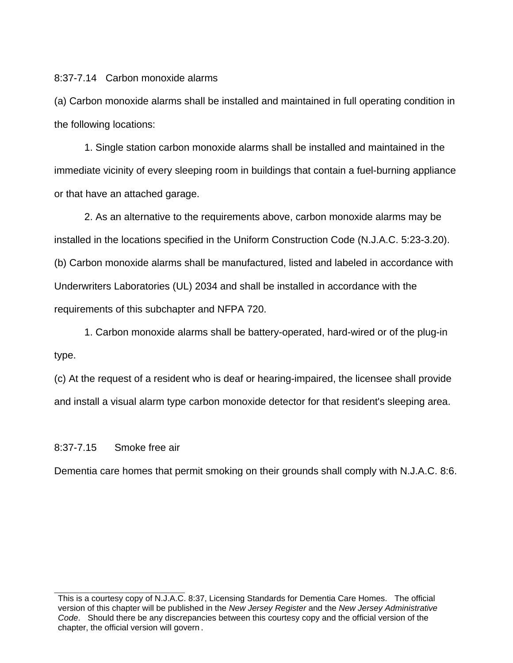## 8:37-7.14 Carbon monoxide alarms

(a) Carbon monoxide alarms shall be installed and maintained in full operating condition in the following locations:

1. Single station carbon monoxide alarms shall be installed and maintained in the immediate vicinity of every sleeping room in buildings that contain a fuel-burning appliance or that have an attached garage.

2. As an alternative to the requirements above, carbon monoxide alarms may be installed in the locations specified in the Uniform Construction Code (N.J.A.C. 5:23-3.20). (b) Carbon monoxide alarms shall be manufactured, listed and labeled in accordance with Underwriters Laboratories (UL) 2034 and shall be installed in accordance with the requirements of this subchapter and NFPA 720.

1. Carbon monoxide alarms shall be battery-operated, hard-wired or of the plug-in type.

(c) At the request of a resident who is deaf or hearing-impaired, the licensee shall provide and install a visual alarm type carbon monoxide detector for that resident's sleeping area.

## 8:37-7.15 Smoke free air

Dementia care homes that permit smoking on their grounds shall comply with N.J.A.C. 8:6.

This is a courtesy copy of N.J.A.C. 8:37, Licensing Standards for Dementia Care Homes. The official version of this chapter will be published in the *New Jersey Register* and the *New Jersey Administrative Code*. Should there be any discrepancies between this courtesy copy and the official version of the chapter, the official version will govern.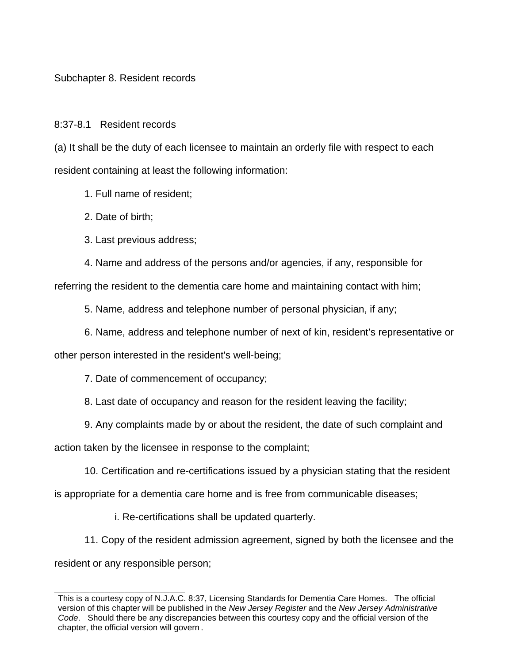## Subchapter 8. Resident records

#### 8:37-8.1 Resident records

(a) It shall be the duty of each licensee to maintain an orderly file with respect to each resident containing at least the following information:

1. Full name of resident;

- 2. Date of birth;
- 3. Last previous address;

 4. Name and address of the persons and/or agencies, if any, responsible for referring the resident to the dementia care home and maintaining contact with him;

5. Name, address and telephone number of personal physician, if any;

6. Name, address and telephone number of next of kin, resident's representative or

other person interested in the resident's well-being;

7. Date of commencement of occupancy;

8. Last date of occupancy and reason for the resident leaving the facility;

9. Any complaints made by or about the resident, the date of such complaint and

action taken by the licensee in response to the complaint;

10. Certification and re-certifications issued by a physician stating that the resident

is appropriate for a dementia care home and is free from communicable diseases;

i. Re-certifications shall be updated quarterly.

 11. Copy of the resident admission agreement, signed by both the licensee and the resident or any responsible person;

This is a courtesy copy of N.J.A.C. 8:37, Licensing Standards for Dementia Care Homes. The official version of this chapter will be published in the *New Jersey Register* and the *New Jersey Administrative Code*. Should there be any discrepancies between this courtesy copy and the official version of the chapter, the official version will govern.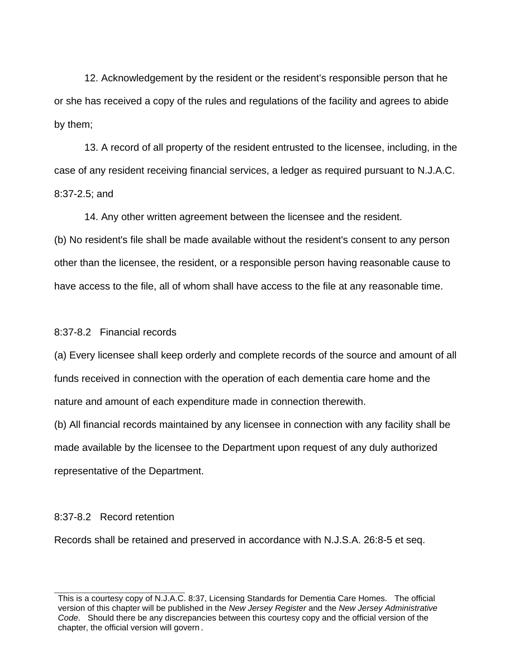12. Acknowledgement by the resident or the resident's responsible person that he or she has received a copy of the rules and regulations of the facility and agrees to abide by them;

 13. A record of all property of the resident entrusted to the licensee, including, in the case of any resident receiving financial services, a ledger as required pursuant to N.J.A.C. 8:37-2.5; and

14. Any other written agreement between the licensee and the resident.

(b) No resident's file shall be made available without the resident's consent to any person other than the licensee, the resident, or a responsible person having reasonable cause to have access to the file, all of whom shall have access to the file at any reasonable time.

## 8:37-8.2 Financial records

(a) Every licensee shall keep orderly and complete records of the source and amount of all funds received in connection with the operation of each dementia care home and the nature and amount of each expenditure made in connection therewith.

(b) All financial records maintained by any licensee in connection with any facility shall be made available by the licensee to the Department upon request of any duly authorized representative of the Department.

#### 8:37-8.2 Record retention

Records shall be retained and preserved in accordance with N.J.S.A. 26:8-5 et seq.

This is a courtesy copy of N.J.A.C. 8:37, Licensing Standards for Dementia Care Homes. The official version of this chapter will be published in the *New Jersey Register* and the *New Jersey Administrative Code*. Should there be any discrepancies between this courtesy copy and the official version of the chapter, the official version will govern.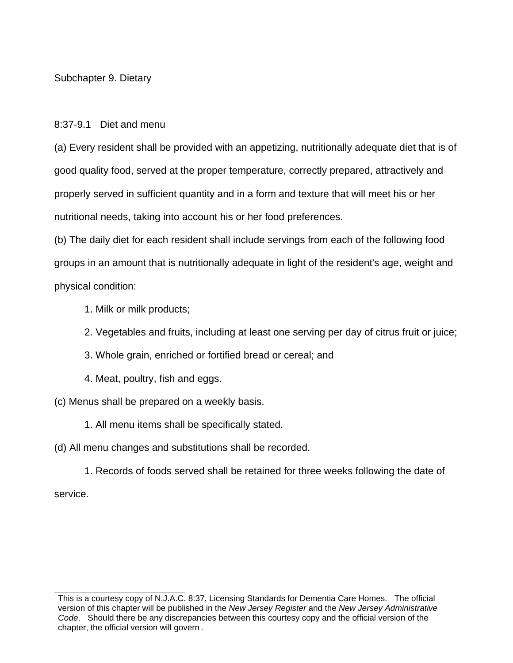Subchapter 9. Dietary

8:37-9.1 Diet and menu

(a) Every resident shall be provided with an appetizing, nutritionally adequate diet that is of good quality food, served at the proper temperature, correctly prepared, attractively and properly served in sufficient quantity and in a form and texture that will meet his or her nutritional needs, taking into account his or her food preferences.

(b) The daily diet for each resident shall include servings from each of the following food groups in an amount that is nutritionally adequate in light of the resident's age, weight and physical condition:

- 1. Milk or milk products;
- 2. Vegetables and fruits, including at least one serving per day of citrus fruit or juice;
- 3. Whole grain, enriched or fortified bread or cereal; and
- 4. Meat, poultry, fish and eggs.

(c) Menus shall be prepared on a weekly basis.

- 1. All menu items shall be specifically stated.
- (d) All menu changes and substitutions shall be recorded.

1. Records of foods served shall be retained for three weeks following the date of service.

This is a courtesy copy of N.J.A.C. 8:37, Licensing Standards for Dementia Care Homes. The official version of this chapter will be published in the *New Jersey Register* and the *New Jersey Administrative Code*. Should there be any discrepancies between this courtesy copy and the official version of the chapter, the official version will govern.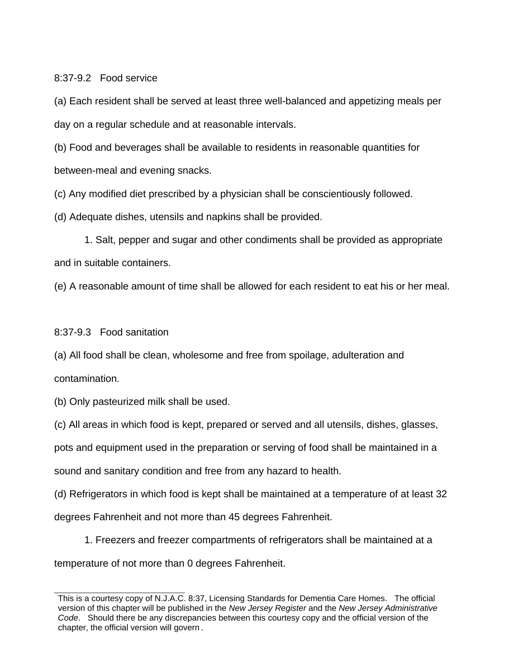## 8:37-9.2 Food service

(a) Each resident shall be served at least three well-balanced and appetizing meals per day on a regular schedule and at reasonable intervals.

(b) Food and beverages shall be available to residents in reasonable quantities for between-meal and evening snacks.

(c) Any modified diet prescribed by a physician shall be conscientiously followed.

(d) Adequate dishes, utensils and napkins shall be provided.

1. Salt, pepper and sugar and other condiments shall be provided as appropriate and in suitable containers.

(e) A reasonable amount of time shall be allowed for each resident to eat his or her meal.

8:37-9.3 Food sanitation

(a) All food shall be clean, wholesome and free from spoilage, adulteration and contamination.

(b) Only pasteurized milk shall be used.

(c) All areas in which food is kept, prepared or served and all utensils, dishes, glasses,

pots and equipment used in the preparation or serving of food shall be maintained in a

sound and sanitary condition and free from any hazard to health.

(d) Refrigerators in which food is kept shall be maintained at a temperature of at least 32

degrees Fahrenheit and not more than 45 degrees Fahrenheit.

1. Freezers and freezer compartments of refrigerators shall be maintained at a temperature of not more than 0 degrees Fahrenheit.

This is a courtesy copy of N.J.A.C. 8:37, Licensing Standards for Dementia Care Homes. The official version of this chapter will be published in the *New Jersey Register* and the *New Jersey Administrative Code*. Should there be any discrepancies between this courtesy copy and the official version of the chapter, the official version will govern.